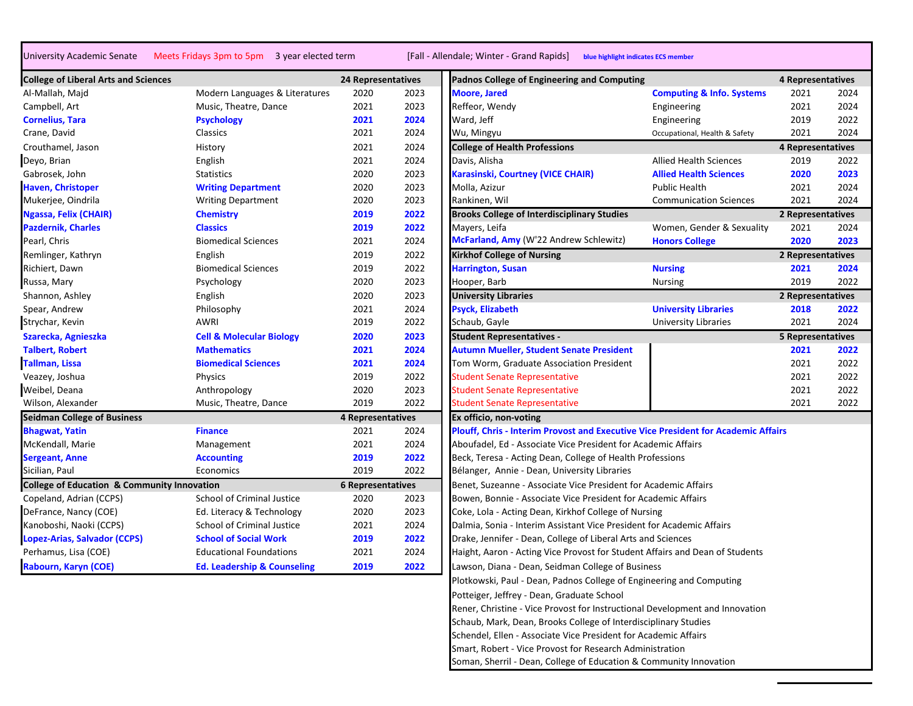University Academic Senate Meets Fridays 3pm to 5pm 3 year elected term [Fall - Allendale; Winter - Grand Rapids] **blue highlight indicates ECS member**

| <b>College of Liberal Arts and Sciences</b>            |                                        | 24 Representatives       |      | Padnos College of Engineering and Computing                                       |                                      | $\overline{4}$ |
|--------------------------------------------------------|----------------------------------------|--------------------------|------|-----------------------------------------------------------------------------------|--------------------------------------|----------------|
| Al-Mallah, Majd                                        | Modern Languages & Literatures         | 2020                     | 2023 | <b>Moore, Jared</b>                                                               | <b>Computing &amp; Info. Systems</b> |                |
| Campbell, Art                                          | Music, Theatre, Dance                  | 2021                     | 2023 | Reffeor, Wendy                                                                    | Engineering                          |                |
| <b>Cornelius, Tara</b>                                 | <b>Psychology</b>                      | 2021                     | 2024 | Ward, Jeff                                                                        | Engineering                          |                |
| Crane, David                                           | Classics                               | 2021                     | 2024 | Wu, Mingyu                                                                        | Occupational, Health & Safety        |                |
| Crouthamel, Jason                                      | History                                | 2021                     | 2024 | <b>College of Health Professions</b>                                              |                                      | $\overline{a}$ |
| Deyo, Brian                                            | English                                | 2021                     | 2024 | Davis, Alisha                                                                     | <b>Allied Health Sciences</b>        |                |
| Gabrosek, John                                         | <b>Statistics</b>                      | 2020                     | 2023 | Karasinski, Courtney (VICE CHAIR)                                                 | <b>Allied Health Sciences</b>        |                |
| <b>Haven, Christoper</b>                               | <b>Writing Department</b>              | 2020                     | 2023 | Molla, Azizur                                                                     | <b>Public Health</b>                 |                |
| Mukerjee, Oindrila                                     | <b>Writing Department</b>              | 2020                     | 2023 | Rankinen, Wil                                                                     | <b>Communication Sciences</b>        |                |
| Ngassa, Felix (CHAIR)                                  | <b>Chemistry</b>                       | 2019                     | 2022 | <b>Brooks College of Interdisciplinary Studies</b>                                |                                      | $\overline{2}$ |
| <b>Pazdernik, Charles</b>                              | <b>Classics</b>                        | 2019                     | 2022 | Mayers, Leifa                                                                     | Women, Gender & Sexuality            |                |
| Pearl, Chris                                           | <b>Biomedical Sciences</b>             | 2021                     | 2024 | McFarland, Amy (W'22 Andrew Schlewitz)                                            | <b>Honors College</b>                |                |
| Remlinger, Kathryn                                     | English                                | 2019                     | 2022 | <b>Kirkhof College of Nursing</b>                                                 |                                      | $\overline{2}$ |
| Richiert, Dawn                                         | <b>Biomedical Sciences</b>             | 2019                     | 2022 | <b>Harrington, Susan</b>                                                          | <b>Nursing</b>                       |                |
| Russa, Mary                                            | Psychology                             | 2020                     | 2023 | Hooper, Barb                                                                      | <b>Nursing</b>                       |                |
| Shannon, Ashley                                        | English                                | 2020                     | 2023 | <b>University Libraries</b>                                                       |                                      | $\overline{2}$ |
| Spear, Andrew                                          | Philosophy                             | 2021                     | 2024 | <b>Psyck, Elizabeth</b>                                                           | <b>University Libraries</b>          |                |
| Strychar, Kevin                                        | <b>AWRI</b>                            | 2019                     | 2022 | Schaub, Gayle                                                                     | <b>University Libraries</b>          |                |
| Szarecka, Agnieszka                                    | <b>Cell &amp; Molecular Biology</b>    | 2020                     | 2023 | <b>Student Representatives -</b>                                                  |                                      | 5              |
| <b>Talbert, Robert</b>                                 | <b>Mathematics</b>                     | 2021                     | 2024 | <b>Autumn Mueller, Student Senate President</b>                                   |                                      |                |
| Tallman, Lissa                                         | <b>Biomedical Sciences</b>             | 2021                     | 2024 | Tom Worm, Graduate Association President                                          |                                      |                |
| Veazey, Joshua                                         | Physics                                | 2019                     | 2022 | <b>Student Senate Representative</b>                                              |                                      |                |
| Weibel, Deana                                          | Anthropology                           | 2020                     | 2023 | <b>Student Senate Representative</b>                                              |                                      |                |
| Wilson, Alexander                                      | Music, Theatre, Dance                  | 2019                     | 2022 | <b>Student Senate Representative</b>                                              |                                      |                |
| <b>Seidman College of Business</b>                     |                                        | 4 Representatives        |      | Ex officio, non-voting                                                            |                                      |                |
| <b>Bhagwat, Yatin</b>                                  | <b>Finance</b>                         | 2021                     | 2024 | Plouff, Chris - Interim Provost and Executive Vice President for Academic Affairs |                                      |                |
| McKendall, Marie                                       | Management                             | 2021                     | 2024 | Aboufadel, Ed - Associate Vice President for Academic Affairs                     |                                      |                |
| <b>Sergeant, Anne</b>                                  | <b>Accounting</b>                      | 2019                     | 2022 | Beck, Teresa - Acting Dean, College of Health Professions                         |                                      |                |
| Sicilian, Paul                                         | Economics                              | 2019                     | 2022 | Bélanger, Annie - Dean, University Libraries                                      |                                      |                |
| <b>College of Education &amp; Community Innovation</b> |                                        | <b>6 Representatives</b> |      | Benet, Suzeanne - Associate Vice President for Academic Affairs                   |                                      |                |
| Copeland, Adrian (CCPS)                                | School of Criminal Justice             | 2020                     | 2023 | Bowen, Bonnie - Associate Vice President for Academic Affairs                     |                                      |                |
| DeFrance, Nancy (COE)                                  | Ed. Literacy & Technology              | 2020                     | 2023 | Coke, Lola - Acting Dean, Kirkhof College of Nursing                              |                                      |                |
| Kanoboshi, Naoki (CCPS)                                | <b>School of Criminal Justice</b>      | 2021                     | 2024 | Dalmia, Sonia - Interim Assistant Vice President for Academic Affairs             |                                      |                |
| Lopez-Arias, Salvador (CCPS)                           | <b>School of Social Work</b>           | 2019                     | 2022 | Drake, Jennifer - Dean, College of Liberal Arts and Sciences                      |                                      |                |
| Perhamus, Lisa (COE)                                   | <b>Educational Foundations</b>         | 2021                     | 2024 | Haight, Aaron - Acting Vice Provost for Student Affairs and Dean of Students      |                                      |                |
| Rabourn, Karyn (COE)                                   | <b>Ed. Leadership &amp; Counseling</b> | 2019                     | 2022 | Lawson, Diana - Dean, Seidman College of Business                                 |                                      |                |

| <b>College of Liberal Arts and Sciences</b>            |                                        | <b>24 Representatives</b> |      | Padnos College of Engineering and Computing                                              |                                      | 4 Representatives |      |
|--------------------------------------------------------|----------------------------------------|---------------------------|------|------------------------------------------------------------------------------------------|--------------------------------------|-------------------|------|
| Al-Mallah, Majd                                        | Modern Languages & Literatures         | 2020                      | 2023 | <b>Moore, Jared</b>                                                                      | <b>Computing &amp; Info. Systems</b> | 2021              | 2024 |
| Campbell, Art                                          | Music, Theatre, Dance                  | 2021                      | 2023 | Reffeor, Wendy                                                                           | Engineering                          | 2021              | 2024 |
| <b>Cornelius, Tara</b>                                 | <b>Psychology</b>                      | 2021                      | 2024 | Ward, Jeff                                                                               | Engineering                          | 2019              | 2022 |
| Crane, David                                           | Classics                               | 2021                      | 2024 | Wu, Mingyu                                                                               | Occupational, Health & Safety        | 2021              | 2024 |
| Crouthamel, Jason                                      | History                                | 2021                      | 2024 | <b>College of Health Professions</b>                                                     |                                      | 4 Representatives |      |
| Deyo, Brian                                            | English                                | 2021                      | 2024 | Davis, Alisha                                                                            | <b>Allied Health Sciences</b>        | 2019              | 2022 |
| Gabrosek, John                                         | <b>Statistics</b>                      | 2020                      | 2023 | Karasinski, Courtney (VICE CHAIR)                                                        | <b>Allied Health Sciences</b>        | 2020              | 2023 |
| <b>Haven, Christoper</b>                               | <b>Writing Department</b>              | 2020                      | 2023 | Molla, Azizur                                                                            | <b>Public Health</b>                 | 2021              | 2024 |
| Mukerjee, Oindrila                                     | <b>Writing Department</b>              | 2020                      | 2023 | Rankinen, Wil                                                                            | <b>Communication Sciences</b>        | 2021              | 2024 |
| Ngassa, Felix (CHAIR)                                  | <b>Chemistry</b>                       | 2019                      | 2022 | <b>Brooks College of Interdisciplinary Studies</b>                                       |                                      | 2 Representatives |      |
| <b>Pazdernik, Charles</b>                              | <b>Classics</b>                        | 2019                      | 2022 | Mayers, Leifa                                                                            | Women, Gender & Sexuality            | 2021              | 2024 |
| Pearl, Chris                                           | <b>Biomedical Sciences</b>             | 2021                      | 2024 | McFarland, Amy (W'22 Andrew Schlewitz)                                                   | <b>Honors College</b>                | 2020              | 2023 |
| Remlinger, Kathryn                                     | English                                | 2019                      | 2022 | <b>Kirkhof College of Nursing</b>                                                        |                                      | 2 Representatives |      |
| Richiert, Dawn                                         | <b>Biomedical Sciences</b>             | 2019                      | 2022 | <b>Harrington, Susan</b>                                                                 | <b>Nursing</b>                       | 2021              | 2024 |
| Russa, Mary                                            | Psychology                             | 2020                      | 2023 | Hooper, Barb                                                                             | <b>Nursing</b>                       | 2019              | 2022 |
| Shannon, Ashley                                        | English                                | 2020                      | 2023 | <b>University Libraries</b>                                                              |                                      | 2 Representatives |      |
| Spear, Andrew                                          | Philosophy                             | 2021                      | 2024 | <b>Psyck, Elizabeth</b>                                                                  | <b>University Libraries</b>          | 2018              | 2022 |
| Strychar, Kevin                                        | AWRI                                   | 2019                      | 2022 | Schaub, Gayle                                                                            | University Libraries                 | 2021              | 2024 |
| Szarecka, Agnieszka                                    | <b>Cell &amp; Molecular Biology</b>    | 2020                      | 2023 | <b>Student Representatives -</b>                                                         |                                      | 5 Representatives |      |
| <b>Talbert, Robert</b>                                 | <b>Mathematics</b>                     | 2021                      | 2024 | <b>Autumn Mueller, Student Senate President</b>                                          |                                      | 2021              | 2022 |
| Tallman, Lissa                                         | <b>Biomedical Sciences</b>             | 2021                      | 2024 | Tom Worm, Graduate Association President                                                 |                                      | 2021              | 2022 |
| Veazey, Joshua                                         | Physics                                | 2019                      | 2022 | <b>Student Senate Representative</b>                                                     |                                      | 2021              | 2022 |
| Weibel, Deana                                          | Anthropology                           | 2020                      | 2023 | <b>Student Senate Representative</b>                                                     |                                      | 2021              | 2022 |
| Wilson, Alexander                                      | Music, Theatre, Dance                  | 2019                      | 2022 | <b>Student Senate Representative</b>                                                     |                                      | 2021              | 2022 |
| <b>Seidman College of Business</b>                     |                                        | 4 Representatives         |      | Ex officio, non-voting                                                                   |                                      |                   |      |
| <b>Bhagwat, Yatin</b>                                  | <b>Finance</b>                         | 2021                      | 2024 | <b>Plouff, Chris - Interim Provost and Executive Vice President for Academic Affairs</b> |                                      |                   |      |
| McKendall, Marie                                       | Management                             | 2021                      | 2024 | Aboufadel, Ed - Associate Vice President for Academic Affairs                            |                                      |                   |      |
| <b>Sergeant, Anne</b>                                  | <b>Accounting</b>                      | 2019                      | 2022 | Beck, Teresa - Acting Dean, College of Health Professions                                |                                      |                   |      |
| Sicilian, Paul                                         | Economics                              | 2019                      | 2022 | Bélanger, Annie - Dean, University Libraries                                             |                                      |                   |      |
| <b>College of Education &amp; Community Innovation</b> |                                        | <b>6 Representatives</b>  |      | Benet, Suzeanne - Associate Vice President for Academic Affairs                          |                                      |                   |      |
| Copeland, Adrian (CCPS)                                | School of Criminal Justice             | 2020                      | 2023 | Bowen, Bonnie - Associate Vice President for Academic Affairs                            |                                      |                   |      |
| DeFrance, Nancy (COE)                                  | Ed. Literacy & Technology              | 2020                      | 2023 | Coke, Lola - Acting Dean, Kirkhof College of Nursing                                     |                                      |                   |      |
| Kanoboshi, Naoki (CCPS)                                | School of Criminal Justice             | 2021                      | 2024 | Dalmia, Sonia - Interim Assistant Vice President for Academic Affairs                    |                                      |                   |      |
| Lopez-Arias, Salvador (CCPS)                           | <b>School of Social Work</b>           | 2019                      | 2022 | Drake, Jennifer - Dean, College of Liberal Arts and Sciences                             |                                      |                   |      |
| Perhamus, Lisa (COE)                                   | <b>Educational Foundations</b>         | 2021                      | 2024 | Haight, Aaron - Acting Vice Provost for Student Affairs and Dean of Students             |                                      |                   |      |
| Rabourn, Karyn (COE)                                   | <b>Ed. Leadership &amp; Counseling</b> | 2019                      | 2022 | Lawson, Diana - Dean, Seidman College of Business                                        |                                      |                   |      |
|                                                        |                                        |                           |      | Plotkowski, Paul - Dean, Padnos College of Engineering and Computing                     |                                      |                   |      |
|                                                        |                                        |                           |      | Potteiger, Jeffrey - Dean, Graduate School                                               |                                      |                   |      |
|                                                        |                                        |                           |      | Rener, Christine - Vice Provost for Instructional Development and Innovation             |                                      |                   |      |
|                                                        |                                        |                           |      | Schaub, Mark, Dean, Brooks College of Interdisciplinary Studies                          |                                      |                   |      |
|                                                        |                                        |                           |      | Schendel, Ellen - Associate Vice President for Academic Affairs                          |                                      |                   |      |
|                                                        |                                        |                           |      | Smart, Robert - Vice Provost for Research Administration                                 |                                      |                   |      |
|                                                        |                                        |                           |      | Soman, Sherril - Dean, College of Education & Community Innovation                       |                                      |                   |      |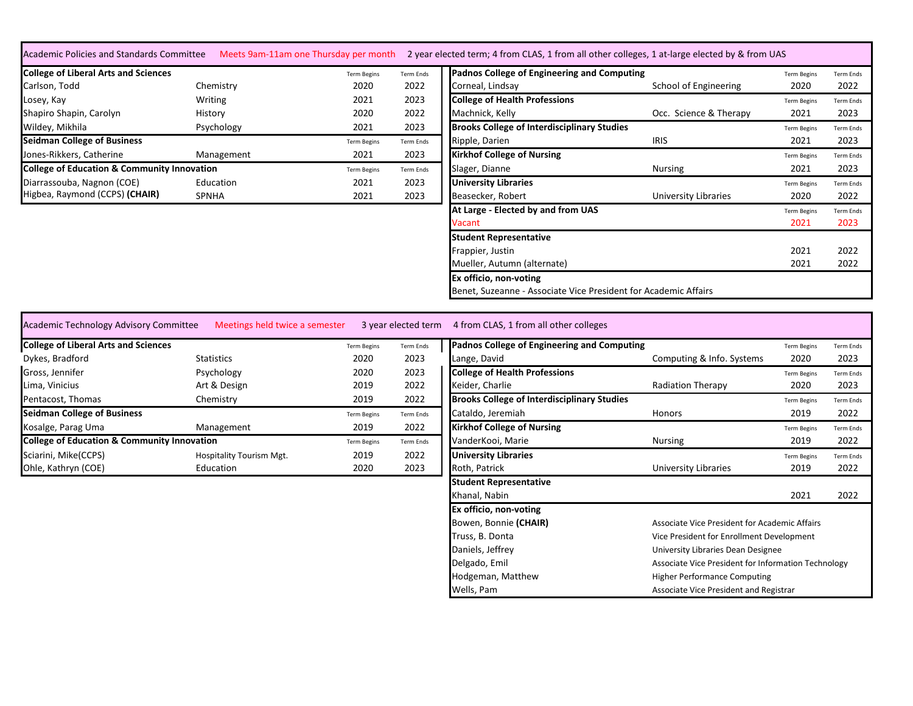| <b>College of Liberal Arts and Sciences</b>            |              | <b>Term Begins</b> | Term Ends | Padnos College of Engineering and Computing                     |                        | <b>Term Begins</b> | Term Ends        |
|--------------------------------------------------------|--------------|--------------------|-----------|-----------------------------------------------------------------|------------------------|--------------------|------------------|
| Carlson, Todd                                          | Chemistry    | 2020               | 2022      | Corneal, Lindsay                                                | School of Engineering  | 2020               | 2022             |
| Losey, Kay                                             | Writing      | 2021               | 2023      | <b>College of Health Professions</b>                            |                        | <b>Term Begins</b> | Term Ends        |
| Shapiro Shapin, Carolyn                                | History      | 2020               | 2022      | Machnick, Kelly                                                 | Occ. Science & Therapy | 2021               | 2023             |
| Wildey, Mikhila                                        | Psychology   | 2021               | 2023      | <b>Brooks College of Interdisciplinary Studies</b>              |                        | <b>Term Begins</b> | <b>Term Ends</b> |
| <b>Seidman College of Business</b>                     |              | <b>Term Begins</b> | Term Ends | Ripple, Darien                                                  | <b>IRIS</b>            | 2021               | 2023             |
| Jones-Rikkers, Catherine                               | Management   | 2021               | 2023      | <b>Kirkhof College of Nursing</b>                               |                        | <b>Term Begins</b> | Term Ends        |
| <b>College of Education &amp; Community Innovation</b> |              | <b>Term Begins</b> | Term Ends | Slager, Dianne                                                  | Nursing                | 2021               | 2023             |
| Diarrassouba, Nagnon (COE)                             | Education    | 2021               | 2023      | <b>University Libraries</b>                                     |                        | <b>Term Begins</b> | <b>Term Ends</b> |
| Higbea, Raymond (CCPS) (CHAIR)                         | <b>SPNHA</b> | 2021               | 2023      | Beasecker, Robert                                               | University Libraries   | 2020               | 2022             |
|                                                        |              |                    |           | At Large - Elected by and from UAS                              |                        | <b>Term Begins</b> | <b>Term Ends</b> |
|                                                        |              |                    |           | Vacant                                                          |                        | 2021               | 2023             |
|                                                        |              |                    |           | <b>Student Representative</b>                                   |                        |                    |                  |
|                                                        |              |                    |           | Frappier, Justin                                                |                        | 2021               | 2022             |
|                                                        |              |                    |           | Mueller, Autumn (alternate)                                     |                        | 2021               | 2022             |
|                                                        |              |                    |           | Ex officio, non-voting                                          |                        |                    |                  |
|                                                        |              |                    |           | Benet, Suzeanne - Associate Vice President for Academic Affairs |                        |                    |                  |

| <b>College of Liberal Arts and Sciences</b>            |                                 | <b>Term Begins</b> | Term Ends        | Padnos College of Engineering and Computing        |                           | <b>Term Begins</b> | <b>Term Ends</b> |
|--------------------------------------------------------|---------------------------------|--------------------|------------------|----------------------------------------------------|---------------------------|--------------------|------------------|
| Dykes, Bradford                                        | <b>Statistics</b>               | 2020               | 2023             | Lange, David                                       | Computing & Info. Systems | 2020               | 2023             |
| Gross, Jennifer                                        | Psychology                      | 2020               | 2023             | <b>College of Health Professions</b>               |                           | <b>Term Begins</b> | <b>Term Ends</b> |
| Lima, Vinicius                                         | Art & Design                    | 2019               | 2022             | Keider, Charlie                                    | <b>Radiation Therapy</b>  | 2020               | 2023             |
| Pentacost, Thomas                                      | Chemistry                       | 2019               | 2022             | <b>Brooks College of Interdisciplinary Studies</b> |                           | <b>Term Begins</b> | <b>Term Ends</b> |
| <b>Seidman College of Business</b>                     |                                 | <b>Term Begins</b> | Term Ends        | Cataldo, Jeremiah                                  | <b>Honors</b>             | 2019               | 2022             |
| Kosalge, Parag Uma                                     | Management                      | 2019               | 2022             | <b>Kirkhof College of Nursing</b>                  |                           | <b>Term Begins</b> | <b>Term Ends</b> |
| <b>College of Education &amp; Community Innovation</b> |                                 | <b>Term Begins</b> | <b>Term Ends</b> | VanderKooi, Marie                                  | <b>Nursing</b>            | 2019               | 2022             |
| Sciarini, Mike(CCPS)                                   | <b>Hospitality Tourism Mgt.</b> | 2019               | 2022             | <b>University Libraries</b>                        |                           | <b>Term Begins</b> | <b>Term Ends</b> |
| Ohle, Kathryn (COE)                                    | Education                       | 2020               | 2023             | Roth, Patrick                                      | University Libraries      | 2019               | 2022             |
|                                                        |                                 |                    |                  |                                                    |                           |                    |                  |

| <b>Term Begins</b> | Term Ends        | Padnos College of Engineering and Computing        |                                                     | <b>Term Begins</b> | <b>Term Ends</b> |  |  |
|--------------------|------------------|----------------------------------------------------|-----------------------------------------------------|--------------------|------------------|--|--|
| 2020               | 2023             | Lange, David                                       | Computing & Info. Systems                           | 2020               | 2023             |  |  |
| 2020               | 2023             | <b>College of Health Professions</b>               |                                                     | <b>Term Begins</b> | <b>Term Ends</b> |  |  |
| 2019               | 2022             | Keider, Charlie                                    | <b>Radiation Therapy</b>                            | 2020               | 2023             |  |  |
| 2019               | 2022             | <b>Brooks College of Interdisciplinary Studies</b> |                                                     | <b>Term Begins</b> | <b>Term Ends</b> |  |  |
| <b>Term Begins</b> | <b>Term Ends</b> | Cataldo, Jeremiah                                  | Honors                                              | 2019               | 2022             |  |  |
| 2019               | 2022             | <b>Kirkhof College of Nursing</b>                  |                                                     | <b>Term Begins</b> | <b>Term Ends</b> |  |  |
| <b>Term Begins</b> | <b>Term Ends</b> | VanderKooi, Marie                                  | Nursing                                             | 2019               | 2022             |  |  |
| 2019               | 2022             | <b>University Libraries</b>                        |                                                     | <b>Term Begins</b> | <b>Term Ends</b> |  |  |
| 2020               | 2023             | Roth, Patrick                                      | University Libraries                                | 2019               | 2022             |  |  |
|                    |                  | <b>Student Representative</b>                      |                                                     |                    |                  |  |  |
|                    |                  | Khanal, Nabin                                      |                                                     | 2021               | 2022             |  |  |
|                    |                  | Ex officio, non-voting                             |                                                     |                    |                  |  |  |
|                    |                  | Bowen, Bonnie (CHAIR)                              | Associate Vice President for Academic Affairs       |                    |                  |  |  |
|                    |                  | Truss, B. Donta                                    | Vice President for Enrollment Development           |                    |                  |  |  |
|                    |                  | Daniels, Jeffrey                                   | University Libraries Dean Designee                  |                    |                  |  |  |
|                    |                  | Delgado, Emil                                      | Associate Vice President for Information Technology |                    |                  |  |  |
|                    |                  | Hodgeman, Matthew                                  | <b>Higher Performance Computing</b>                 |                    |                  |  |  |
|                    |                  | Wells, Pam                                         | Associate Vice President and Registrar              |                    |                  |  |  |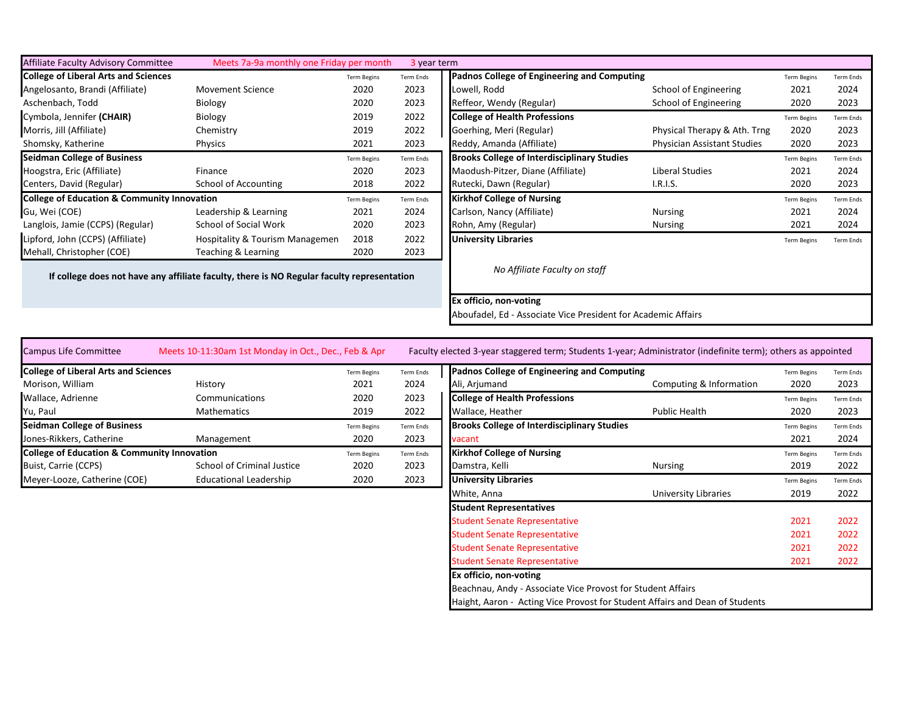| <b>Affiliate Faculty Advisory Committee</b>            | Meets 7a-9a monthly one Friday per month                                                   |                    | 3 year term      |                                                    |                                    |                    |                  |
|--------------------------------------------------------|--------------------------------------------------------------------------------------------|--------------------|------------------|----------------------------------------------------|------------------------------------|--------------------|------------------|
| <b>College of Liberal Arts and Sciences</b>            |                                                                                            | <b>Term Begins</b> | <b>Term Ends</b> | Padnos College of Engineering and Computing        |                                    | <b>Term Begins</b> | <b>Term Ends</b> |
| Angelosanto, Brandi (Affiliate)                        | <b>Movement Science</b>                                                                    | 2020               | 2023             | Lowell, Rodd                                       | School of Engineering              | 2021               | 2024             |
| Aschenbach, Todd                                       | Biology                                                                                    | 2020               | 2023             | Reffeor, Wendy (Regular)                           | School of Engineering              | 2020               | 2023             |
| Cymbola, Jennifer (CHAIR)                              | Biology                                                                                    | 2019               | 2022             | <b>College of Health Professions</b>               |                                    | <b>Term Begins</b> | <b>Term Ends</b> |
| Morris, Jill (Affiliate)                               | Chemistry                                                                                  | 2019               | 2022             | Goerhing, Meri (Regular)                           | Physical Therapy & Ath. Trng       | 2020               | 2023             |
| Shomsky, Katherine                                     | Physics                                                                                    | 2021               | 2023             | Reddy, Amanda (Affiliate)                          | <b>Physician Assistant Studies</b> | 2020               | 2023             |
| <b>Seidman College of Business</b>                     |                                                                                            | <b>Term Begins</b> | Term Ends        | <b>Brooks College of Interdisciplinary Studies</b> |                                    | <b>Term Begins</b> | <b>Term Ends</b> |
| Hoogstra, Eric (Affiliate)                             | Finance                                                                                    | 2020               | 2023             | Maodush-Pitzer, Diane (Affiliate)                  | Liberal Studies                    | 2021               | 2024             |
| Centers, David (Regular)                               | School of Accounting                                                                       | 2018               | 2022             | Rutecki, Dawn (Regular)                            | I.R.I.S.                           | 2020               | 2023             |
| <b>College of Education &amp; Community Innovation</b> |                                                                                            | <b>Term Begins</b> | Term Ends        | <b>Kirkhof College of Nursing</b>                  |                                    | <b>Term Begins</b> | <b>Term Ends</b> |
| Gu, Wei (COE)                                          | Leadership & Learning                                                                      | 2021               | 2024             | Carlson, Nancy (Affiliate)                         | <b>Nursing</b>                     | 2021               | 2024             |
| Langlois, Jamie (CCPS) (Regular)                       | School of Social Work                                                                      | 2020               | 2023             | Rohn, Amy (Regular)                                | Nursing                            | 2021               | 2024             |
| Lipford, John (CCPS) (Affiliate)                       | Hospitality & Tourism Managemen                                                            | 2018               | 2022             | <b>University Libraries</b>                        |                                    | <b>Term Begins</b> | <b>Term Ends</b> |
| Mehall, Christopher (COE)                              | Teaching & Learning                                                                        | 2020               | 2023             |                                                    |                                    |                    |                  |
|                                                        | If college does not have any affiliate faculty, there is NO Regular faculty representation |                    |                  | No Affiliate Faculty on staff                      |                                    |                    |                  |

**Ex officio, non-voting**

Aboufadel, Ed - Associate Vice President for Academic Affairs

| Campus Life Committee                                  | Meets 10-11:30am 1st Monday in Oct., Dec., Feb & Apr |                    |           | Faculty elected 3-year staggered term; Students 1-year; Administrator (indefinite term); others as appointed |                         |                    |          |
|--------------------------------------------------------|------------------------------------------------------|--------------------|-----------|--------------------------------------------------------------------------------------------------------------|-------------------------|--------------------|----------|
| <b>College of Liberal Arts and Sciences</b>            |                                                      | <b>Term Begins</b> | Term Ends | Padnos College of Engineering and Computing                                                                  |                         | <b>Term Begins</b> | Term End |
| Morison, William                                       | History                                              | 2021               | 2024      | Ali, Arjumand                                                                                                | Computing & Information | 2020               | 2023     |
| Wallace, Adrienne                                      | Communications                                       | 2020               | 2023      | <b>College of Health Professions</b>                                                                         |                         | <b>Term Begins</b> | Term End |
| Yu, Paul                                               | Mathematics                                          | 2019               | 2022      | Wallace, Heather                                                                                             | Public Health           | 2020               | 2023     |
| <b>Seidman College of Business</b>                     |                                                      | <b>Term Begins</b> | Term Ends | <b>Brooks College of Interdisciplinary Studies</b>                                                           |                         | <b>Term Begins</b> | Term End |
| Jones-Rikkers, Catherine                               | Management                                           | 2020               | 2023      | vacant                                                                                                       |                         | 2021               | 2024     |
| <b>College of Education &amp; Community Innovation</b> |                                                      | <b>Term Begins</b> | Term Ends | <b>Kirkhof College of Nursing</b>                                                                            |                         | <b>Term Begins</b> | Term End |
| Buist, Carrie (CCPS)                                   | School of Criminal Justice                           | 2020               | 2023      | Damstra, Kelli                                                                                               | <b>Nursing</b>          | 2019               | 2022     |
| Meyer-Looze, Catherine (COE)                           | Educational Leadership                               | 2020               | 2023      | <b>University Libraries</b>                                                                                  |                         | <b>Term Begins</b> | Term End |

| <b>College of Liberal Arts and Sciences</b>            |                               | <b>Term Begins</b> | Term Ends | Padnos College of Engineering and Computing                                  |                         | <b>Term Begins</b> | <b>Term Ends</b> |
|--------------------------------------------------------|-------------------------------|--------------------|-----------|------------------------------------------------------------------------------|-------------------------|--------------------|------------------|
| Morison, William                                       | History                       | 2021               | 2024      | Ali, Arjumand                                                                | Computing & Information | 2020               | 2023             |
| Wallace, Adrienne                                      | Communications                | 2020               | 2023      | <b>College of Health Professions</b>                                         |                         | <b>Term Begins</b> | <b>Term Ends</b> |
| Yu, Paul                                               | <b>Mathematics</b>            | 2019               | 2022      | Wallace, Heather                                                             | <b>Public Health</b>    | 2020               | 2023             |
| <b>Seidman College of Business</b>                     |                               | <b>Term Begins</b> | Term Ends | <b>Brooks College of Interdisciplinary Studies</b>                           |                         | <b>Term Begins</b> | <b>Term Ends</b> |
| Jones-Rikkers, Catherine                               | Management                    | 2020               | 2023      | vacant                                                                       |                         | 2021               | 2024             |
| <b>College of Education &amp; Community Innovation</b> |                               | <b>Term Begins</b> | Term Ends | <b>Kirkhof College of Nursing</b>                                            |                         | <b>Term Begins</b> | <b>Term Ends</b> |
| Buist, Carrie (CCPS)                                   | School of Criminal Justice    | 2020               | 2023      | Damstra, Kelli                                                               | Nursing                 | 2019               | 2022             |
| Meyer-Looze, Catherine (COE)                           | <b>Educational Leadership</b> | 2020               | 2023      | <b>University Libraries</b>                                                  |                         | <b>Term Begins</b> | <b>Term Ends</b> |
|                                                        |                               |                    |           | White, Anna                                                                  | University Libraries    | 2019               | 2022             |
|                                                        |                               |                    |           | <b>Student Representatives</b>                                               |                         |                    |                  |
|                                                        |                               |                    |           | <b>Student Senate Representative</b>                                         |                         | 2021               | 2022             |
|                                                        |                               |                    |           | <b>Student Senate Representative</b>                                         |                         | 2021               | 2022             |
|                                                        |                               |                    |           | <b>Student Senate Representative</b>                                         |                         | 2021               | 2022             |
|                                                        |                               |                    |           | <b>Student Senate Representative</b>                                         |                         | 2021               | 2022             |
|                                                        |                               |                    |           | Ex officio, non-voting                                                       |                         |                    |                  |
|                                                        |                               |                    |           | Beachnau, Andy - Associate Vice Provost for Student Affairs                  |                         |                    |                  |
|                                                        |                               |                    |           | Haight, Aaron - Acting Vice Provost for Student Affairs and Dean of Students |                         |                    |                  |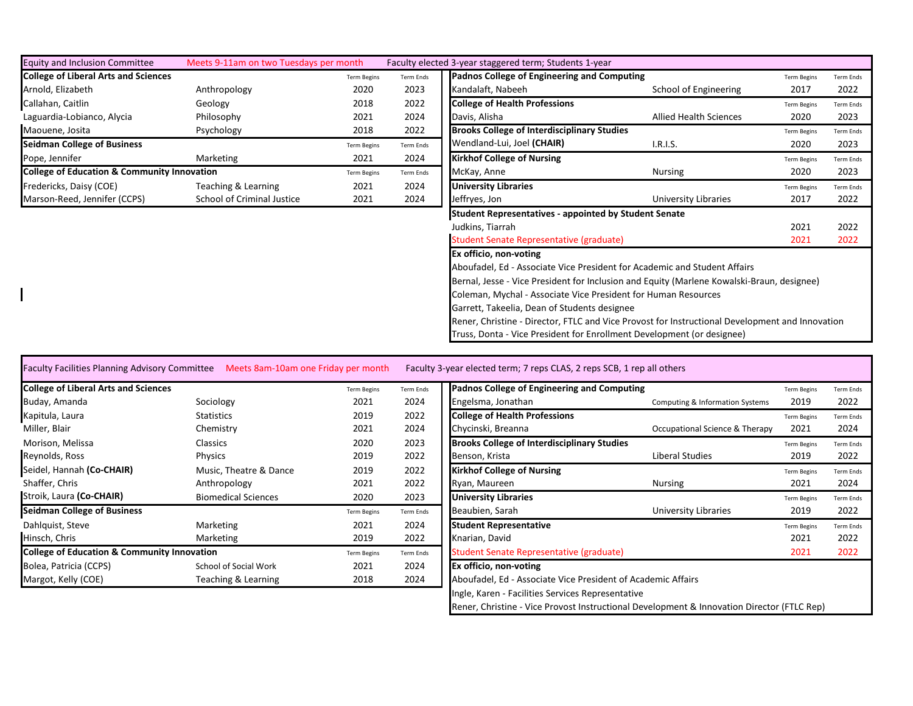| <b>Equity and Inclusion Committee</b>                  | Meets 9-11am on two Tuesdays per month |                    |           | Faculty elected 3-year staggered term; Students 1-year                                          |                               |                    |                  |
|--------------------------------------------------------|----------------------------------------|--------------------|-----------|-------------------------------------------------------------------------------------------------|-------------------------------|--------------------|------------------|
| <b>College of Liberal Arts and Sciences</b>            |                                        | <b>Term Begins</b> | Term Ends | Padnos College of Engineering and Computing                                                     |                               | <b>Term Begins</b> | Term Ends        |
| Arnold, Elizabeth                                      | Anthropology                           | 2020               | 2023      | Kandalaft, Nabeeh                                                                               | School of Engineering         | 2017               | 2022             |
| Callahan, Caitlin                                      | Geology                                | 2018               | 2022      | <b>College of Health Professions</b>                                                            |                               | <b>Term Begins</b> | Term Ends        |
| Laguardia-Lobianco, Alycia                             | Philosophy                             | 2021               | 2024      | Davis, Alisha                                                                                   | <b>Allied Health Sciences</b> | 2020               | 2023             |
| Maouene, Josita                                        | Psychology                             | 2018               | 2022      | <b>Brooks College of Interdisciplinary Studies</b>                                              |                               | <b>Term Begins</b> | <b>Term Ends</b> |
| <b>Seidman College of Business</b>                     |                                        | <b>Term Begins</b> | Term Ends | Wendland-Lui, Joel (CHAIR)                                                                      | I.R.I.S.                      | 2020               | 2023             |
| Pope, Jennifer                                         | Marketing                              | 2021               | 2024      | <b>Kirkhof College of Nursing</b>                                                               |                               | <b>Term Begins</b> | Term Ends        |
| <b>College of Education &amp; Community Innovation</b> |                                        | <b>Term Begins</b> | Term Ends | McKay, Anne                                                                                     | <b>Nursing</b>                | 2020               | 2023             |
| Fredericks, Daisy (COE)                                | Teaching & Learning                    | 2021               | 2024      | <b>University Libraries</b>                                                                     |                               | <b>Term Begins</b> | <b>Term Ends</b> |
| Marson-Reed, Jennifer (CCPS)                           | School of Criminal Justice             | 2021               | 2024      | Jeffryes, Jon                                                                                   | University Libraries          | 2017               | 2022             |
|                                                        |                                        |                    |           | <b>Student Representatives - appointed by Student Senate</b>                                    |                               |                    |                  |
|                                                        |                                        |                    |           | Judkins, Tiarrah                                                                                |                               | 2021               | 2022             |
|                                                        |                                        |                    |           | Student Senate Representative (graduate)                                                        |                               | 2021               | 2022             |
|                                                        |                                        |                    |           | Ex officio, non-voting                                                                          |                               |                    |                  |
|                                                        |                                        |                    |           | Aboufadel, Ed - Associate Vice President for Academic and Student Affairs                       |                               |                    |                  |
|                                                        |                                        |                    |           | Bernal, Jesse - Vice President for Inclusion and Equity (Marlene Kowalski-Braun, designee)      |                               |                    |                  |
|                                                        |                                        |                    |           | Coleman, Mychal - Associate Vice President for Human Resources                                  |                               |                    |                  |
|                                                        |                                        |                    |           | Garrett, Takeelia, Dean of Students designee                                                    |                               |                    |                  |
|                                                        |                                        |                    |           | Rener, Christine - Director, FTLC and Vice Provost for Instructional Development and Innovation |                               |                    |                  |
|                                                        |                                        |                    |           | Truss, Donta - Vice President for Enrollment Development (or designee)                          |                               |                    |                  |

| Faculty Facilities Planning Advisory Committee Meets 8am-10am one Friday per month |  |  | Faculty 3-year elected term; 7 reps CLAS, 2 reps SCB, 1 rep all others |
|------------------------------------------------------------------------------------|--|--|------------------------------------------------------------------------|
|------------------------------------------------------------------------------------|--|--|------------------------------------------------------------------------|

| <b>College of Liberal Arts and Sciences</b>            |                            | <b>Term Begins</b> | Term Ends | Padnos College of Engineering and Computing        |
|--------------------------------------------------------|----------------------------|--------------------|-----------|----------------------------------------------------|
| Buday, Amanda                                          | Sociology                  | 2021               | 2024      | Engelsma, Jonathan                                 |
| Kapitula, Laura                                        | <b>Statistics</b>          | 2019               | 2022      | <b>College of Health Professions</b>               |
| Miller, Blair                                          | Chemistry                  | 2021               | 2024      | Chycinski, Breanna                                 |
| Morison, Melissa                                       | <b>Classics</b>            | 2020               | 2023      | <b>Brooks College of Interdisciplinary Studies</b> |
| Reynolds, Ross                                         | Physics                    | 2019               | 2022      | Benson, Krista                                     |
| Seidel, Hannah (Co-CHAIR)                              | Music, Theatre & Dance     | 2019               | 2022      | <b>Kirkhof College of Nursing</b>                  |
| Shaffer, Chris                                         | Anthropology               | 2021               | 2022      | Ryan, Maureen                                      |
| Stroik, Laura (Co-CHAIR)                               | <b>Biomedical Sciences</b> | 2020               | 2023      | <b>University Libraries</b>                        |
| <b>Seidman College of Business</b>                     |                            | <b>Term Begins</b> | Term Ends | Beaubien, Sarah                                    |
| Dahlquist, Steve                                       | Marketing                  | 2021               | 2024      | <b>Student Representative</b>                      |
| Hinsch, Chris                                          | Marketing                  | 2019               | 2022      | Knarian, David                                     |
| <b>College of Education &amp; Community Innovation</b> |                            | <b>Term Begins</b> | Term Ends | Student Senate Representative (graduate)           |
| Bolea, Patricia (CCPS)                                 | School of Social Work      | 2021               | 2024      | Ex officio, non-voting                             |
| Margot, Kelly (COE)                                    | Teaching & Learning        | 2018               | 2024      | Aboufadel, Ed - Associate Vice President of Aca    |
|                                                        |                            |                    |           |                                                    |

| <b>College of Liberal Arts and Sciences</b>            |                            | <b>Term Begins</b> | Term Ends | Padnos College of Engineering and Computing                                                |                                 | <b>Term Begins</b> | <b>Term Ends</b> |
|--------------------------------------------------------|----------------------------|--------------------|-----------|--------------------------------------------------------------------------------------------|---------------------------------|--------------------|------------------|
| Buday, Amanda                                          | Sociology                  | 2021               | 2024      | Engelsma, Jonathan                                                                         | Computing & Information Systems | 2019               | 2022             |
| Kapitula, Laura                                        | <b>Statistics</b>          | 2019               | 2022      | <b>College of Health Professions</b>                                                       |                                 | <b>Term Begins</b> | <b>Term Ends</b> |
| Miller, Blair                                          | Chemistry                  | 2021               | 2024      | Chycinski, Breanna                                                                         | Occupational Science & Therapy  | 2021               | 2024             |
| Morison, Melissa                                       | <b>Classics</b>            | 2020               | 2023      | <b>Brooks College of Interdisciplinary Studies</b>                                         |                                 | <b>Term Begins</b> | <b>Term Ends</b> |
| Reynolds, Ross                                         | Physics                    | 2019               | 2022      | Benson, Krista                                                                             | Liberal Studies                 | 2019               | 2022             |
| Seidel, Hannah <b>(Co-CHAIR)</b>                       | Music, Theatre & Dance     | 2019               | 2022      | <b>Kirkhof College of Nursing</b>                                                          |                                 | <b>Term Begins</b> | <b>Term Ends</b> |
| Shaffer, Chris                                         | Anthropology               | 2021               | 2022      | Ryan, Maureen                                                                              | Nursing                         | 2021               | 2024             |
| Stroik, Laura <b>(Co-CHAIR)</b>                        | <b>Biomedical Sciences</b> | 2020               | 2023      | <b>University Libraries</b>                                                                |                                 | <b>Term Begins</b> | <b>Term Ends</b> |
| <b>Seidman College of Business</b>                     |                            | <b>Term Begins</b> | Term Ends | Beaubien, Sarah                                                                            | University Libraries            | 2019               | 2022             |
| Dahlquist, Steve                                       | Marketing                  | 2021               | 2024      | <b>Student Representative</b>                                                              |                                 | <b>Term Begins</b> | <b>Term Ends</b> |
| Hinsch, Chris                                          | Marketing                  | 2019               | 2022      | Knarian, David                                                                             |                                 | 2021               | 2022             |
| <b>College of Education &amp; Community Innovation</b> |                            | <b>Term Begins</b> | Term Ends | Student Senate Representative (graduate)                                                   |                                 | 2021               | 2022             |
| Bolea, Patricia (CCPS)                                 | School of Social Work      | 2021               | 2024      | Ex officio, non-voting                                                                     |                                 |                    |                  |
| Margot, Kelly (COE)                                    | Teaching & Learning        | 2018               | 2024      | Aboufadel, Ed - Associate Vice President of Academic Affairs                               |                                 |                    |                  |
|                                                        |                            |                    |           | Ingle, Karen - Facilities Services Representative                                          |                                 |                    |                  |
|                                                        |                            |                    |           | Rener, Christine - Vice Provost Instructional Development & Innovation Director (FTLC Rep) |                                 |                    |                  |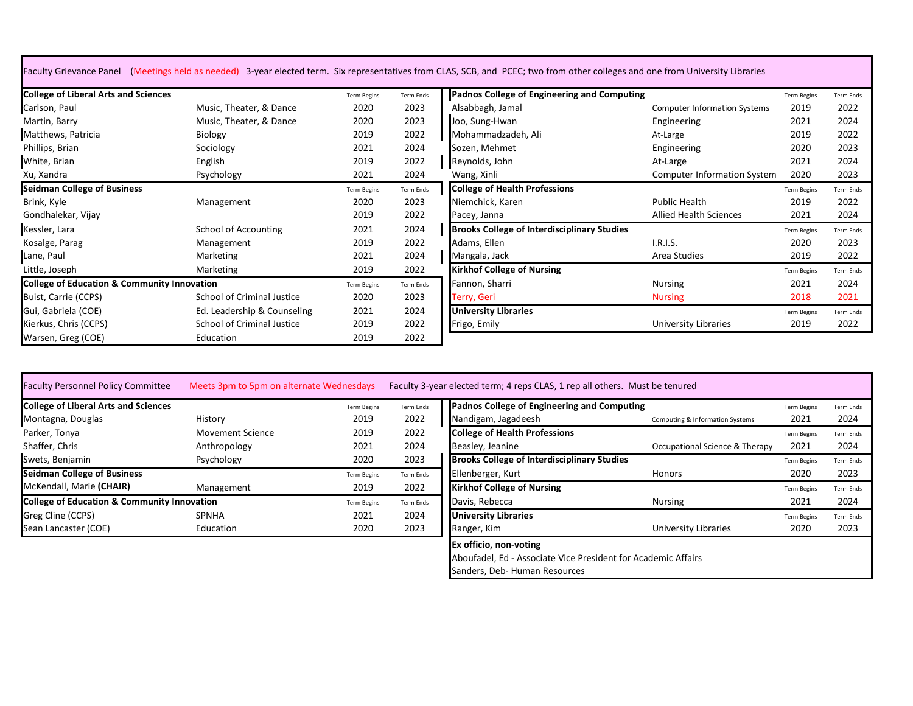| Faculty Grievance Panel (Meetings held as needed) 3-year elected term. Six representatives from CLAS, SCB, and PCEC; two from other colleges and one from University Libraries |  |  |  |  |
|--------------------------------------------------------------------------------------------------------------------------------------------------------------------------------|--|--|--|--|
|--------------------------------------------------------------------------------------------------------------------------------------------------------------------------------|--|--|--|--|

| <b>College of Liberal Arts and Sciences</b>            |                                   | <b>Term Begins</b> | <b>Term Ends</b> | Padnos College of Engineering and Computing        |                                     | <b>Term Begins</b> | <b>Term Ends</b> |
|--------------------------------------------------------|-----------------------------------|--------------------|------------------|----------------------------------------------------|-------------------------------------|--------------------|------------------|
| Carlson, Paul                                          | Music, Theater, & Dance           | 2020               | 2023             | Alsabbagh, Jamal                                   | <b>Computer Information Systems</b> | 2019               | 2022             |
| Martin, Barry                                          | Music, Theater, & Dance           | 2020               | 2023             | Joo, Sung-Hwan                                     | Engineering                         | 2021               | 2024             |
| Matthews, Patricia                                     | Biology                           | 2019               | 2022             | Mohammadzadeh, Ali                                 | At-Large                            | 2019               | 2022             |
| Phillips, Brian                                        | Sociology                         | 2021               | 2024             | Sozen, Mehmet                                      | Engineering                         | 2020               | 2023             |
| White, Brian                                           | English                           | 2019               | 2022             | Reynolds, John                                     | At-Large                            | 2021               | 2024             |
| Xu, Xandra                                             | Psychology                        | 2021               | 2024             | Wang, Xinli                                        | <b>Computer Information System</b>  | 2020               | 2023             |
| <b>Seidman College of Business</b>                     |                                   | <b>Term Begins</b> | Term Ends        | <b>College of Health Professions</b>               |                                     | <b>Term Begins</b> | <b>Term Ends</b> |
| Brink, Kyle                                            | Management                        | 2020               | 2023             | Niemchick, Karen                                   | Public Health                       | 2019               | 2022             |
| Gondhalekar, Vijay                                     |                                   | 2019               | 2022             | Pacey, Janna                                       | <b>Allied Health Sciences</b>       | 2021               | 2024             |
| Kessler, Lara                                          | School of Accounting              | 2021               | 2024             | <b>Brooks College of Interdisciplinary Studies</b> |                                     | <b>Term Begins</b> | <b>Term Ends</b> |
| Kosalge, Parag                                         | Management                        | 2019               | 2022             | Adams, Ellen                                       | I.R.I.S.                            | 2020               | 2023             |
| Lane, Paul                                             | Marketing                         | 2021               | 2024             | Mangala, Jack                                      | Area Studies                        | 2019               | 2022             |
| Little, Joseph                                         | Marketing                         | 2019               | 2022             | <b>Kirkhof College of Nursing</b>                  |                                     | <b>Term Begins</b> | <b>Term Ends</b> |
| <b>College of Education &amp; Community Innovation</b> |                                   | <b>Term Begins</b> | Term Ends        | Fannon, Sharri                                     | <b>Nursing</b>                      | 2021               | 2024             |
| Buist, Carrie (CCPS)                                   | <b>School of Criminal Justice</b> | 2020               | 2023             | Terry, Geri                                        | <b>Nursing</b>                      | 2018               | 2021             |
| Gui, Gabriela (COE)                                    | Ed. Leadership & Counseling       | 2021               | 2024             | <b>University Libraries</b>                        |                                     | <b>Term Begins</b> | <b>Term Ends</b> |
| Kierkus, Chris (CCPS)                                  | School of Criminal Justice        | 2019               | 2022             | Frigo, Emily                                       | University Libraries                | 2019               | 2022             |
| Warsen, Greg (COE)                                     | Education                         | 2019               | 2022             |                                                    |                                     |                    |                  |

| <b>Faculty Personnel Policy Committee</b>              | Meets 3pm to 5pm on alternate Wednesdays |                    |           | Faculty 3-year elected term; 4 reps CLAS, 1 rep all others. Must be tenured |                                 |                    |                  |
|--------------------------------------------------------|------------------------------------------|--------------------|-----------|-----------------------------------------------------------------------------|---------------------------------|--------------------|------------------|
| <b>College of Liberal Arts and Sciences</b>            |                                          | <b>Term Begins</b> | Term Ends | Padnos College of Engineering and Computing                                 |                                 | <b>Term Begins</b> | <b>Term Ends</b> |
| Montagna, Douglas                                      | History                                  | 2019               | 2022      | Nandigam, Jagadeesh                                                         | Computing & Information Systems | 2021               | 2024             |
| Parker, Tonya                                          | <b>Movement Science</b>                  | 2019               | 2022      | <b>College of Health Professions</b>                                        |                                 | <b>Term Begins</b> | <b>Term Ends</b> |
| Shaffer, Chris                                         | Anthropology                             | 2021               | 2024      | Beasley, Jeanine                                                            | Occupational Science & Therapy  | 2021               | 2024             |
| Swets, Benjamin                                        | Psychology                               | 2020               | 2023      | <b>Brooks College of Interdisciplinary Studies</b>                          |                                 | <b>Term Begins</b> | <b>Term Ends</b> |
| <b>Seidman College of Business</b>                     |                                          | <b>Term Begins</b> | Term Ends | Ellenberger, Kurt                                                           | Honors                          | 2020               | 2023             |
| McKendall, Marie (CHAIR)                               | Management                               | 2019               | 2022      | <b>Kirkhof College of Nursing</b>                                           |                                 | <b>Term Begins</b> | <b>Term Ends</b> |
| <b>College of Education &amp; Community Innovation</b> |                                          | <b>Term Begins</b> | Term Ends | Davis, Rebecca                                                              | <b>Nursing</b>                  | 2021               | 2024             |
| Greg Cline (CCPS)                                      | <b>SPNHA</b>                             | 2021               | 2024      | <b>University Libraries</b>                                                 |                                 | <b>Term Begins</b> | <b>Term Ends</b> |
| Sean Lancaster (COE)                                   | Education                                | 2020               | 2023      | Ranger, Kim                                                                 | University Libraries            | 2020               | 2023             |

| esdays             |           | Faculty 3-year elected term; 4 reps CLAS, 1 rep all others. Must be tenured |                                 |                    |                  |
|--------------------|-----------|-----------------------------------------------------------------------------|---------------------------------|--------------------|------------------|
| <b>Term Begins</b> | Term Ends | Padnos College of Engineering and Computing                                 |                                 | <b>Term Begins</b> | <b>Term Ends</b> |
| 2019               | 2022      | Nandigam, Jagadeesh                                                         | Computing & Information Systems | 2021               | 2024             |
| 2019               | 2022      | <b>College of Health Professions</b>                                        |                                 | <b>Term Begins</b> | <b>Term Ends</b> |
| 2021               | 2024      | Beasley, Jeanine                                                            | Occupational Science & Therapy  | 2021               | 2024             |
| 2020               | 2023      | <b>Brooks College of Interdisciplinary Studies</b>                          |                                 | <b>Term Begins</b> | <b>Term Ends</b> |
| <b>Term Begins</b> | Term Ends | Ellenberger, Kurt                                                           | <b>Honors</b>                   | 2020               | 2023             |
| 2019               | 2022      | <b>Kirkhof College of Nursing</b>                                           |                                 | <b>Term Begins</b> | <b>Term Ends</b> |
| <b>Term Begins</b> | Term Ends | Davis, Rebecca                                                              | <b>Nursing</b>                  | 2021               | 2024             |
| 2021               | 2024      | <b>University Libraries</b>                                                 |                                 | <b>Term Begins</b> | <b>Term Ends</b> |
| 2020               | 2023      | Ranger, Kim                                                                 | University Libraries            | 2020               | 2023             |
|                    |           | Ex officio, non-voting                                                      |                                 |                    |                  |
|                    |           | Aboufadel, Ed - Associate Vice President for Academic Affairs               |                                 |                    |                  |
|                    |           | Sanders, Deb- Human Resources                                               |                                 |                    |                  |
|                    |           |                                                                             |                                 |                    |                  |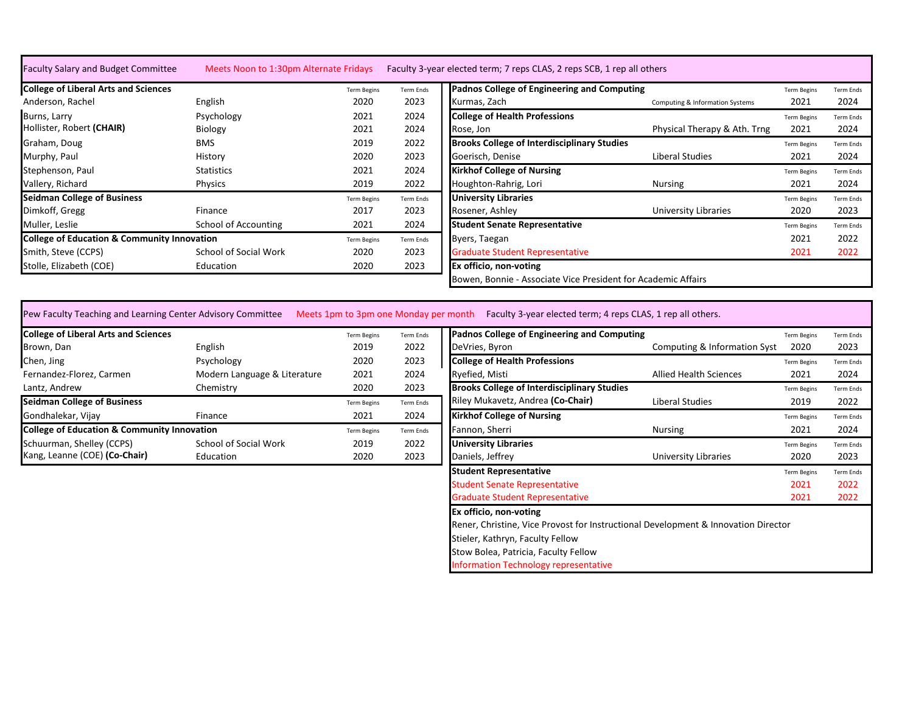| <b>College of Liberal Arts and Sciences</b>            |                       | <b>Term Begins</b> | Term Ends | Padnos College of Engineering and Computing                   |                                 | <b>Term Begins</b> | <b>Term Ends</b> |
|--------------------------------------------------------|-----------------------|--------------------|-----------|---------------------------------------------------------------|---------------------------------|--------------------|------------------|
| Anderson, Rachel                                       | English               | 2020               | 2023      | Kurmas, Zach                                                  | Computing & Information Systems | 2021               | 2024             |
| Burns, Larry                                           | Psychology            | 2021               | 2024      | <b>College of Health Professions</b>                          |                                 | <b>Term Begins</b> | <b>Term Ends</b> |
| Hollister, Robert (CHAIR)                              | Biology               | 2021               | 2024      | Rose, Jon                                                     | Physical Therapy & Ath. Trng    | 2021               | 2024             |
| Graham, Doug                                           | <b>BMS</b>            | 2019               | 2022      | <b>Brooks College of Interdisciplinary Studies</b>            |                                 | <b>Term Begins</b> | <b>Term Ends</b> |
| Murphy, Paul                                           | History               | 2020               | 2023      | Goerisch, Denise                                              | Liberal Studies                 | 2021               | 2024             |
| Stephenson, Paul                                       | <b>Statistics</b>     | 2021               | 2024      | <b>Kirkhof College of Nursing</b>                             |                                 | <b>Term Begins</b> | <b>Term Ends</b> |
| Vallery, Richard                                       | Physics               | 2019               | 2022      | Houghton-Rahrig, Lori                                         | <b>Nursing</b>                  | 2021               | 2024             |
| <b>Seidman College of Business</b>                     |                       | <b>Term Begins</b> | Term Ends | <b>University Libraries</b>                                   |                                 | <b>Term Begins</b> | <b>Term Ends</b> |
| Dimkoff, Gregg                                         | Finance               | 2017               | 2023      | Rosener, Ashley                                               | <b>University Libraries</b>     | 2020               | 2023             |
| Muller, Leslie                                         | School of Accounting  | 2021               | 2024      | <b>Student Senate Representative</b>                          |                                 | <b>Term Begins</b> | <b>Term Ends</b> |
| <b>College of Education &amp; Community Innovation</b> |                       | <b>Term Begins</b> | Term Ends | Byers, Taegan                                                 |                                 | 2021               | 2022             |
| Smith, Steve (CCPS)                                    | School of Social Work | 2020               | 2023      | <b>Graduate Student Representative</b>                        |                                 | 2021               | 2022             |
| Stolle, Elizabeth (COE)                                | Education             | 2020               | 2023      | <b>Ex officio, non-voting</b>                                 |                                 |                    |                  |
|                                                        |                       |                    |           | Bowen, Bonnie - Associate Vice President for Academic Affairs |                                 |                    |                  |

Pew Faculty Teaching and Learning Center Advisory Committee Meets 1pm to 3pm one Monday per month Faculty 3-year elected term; 4 reps CLAS, 1 rep all others.

| College of Liberal Arts and Sciences                   |                              | <b>Term Begins</b> | Term Ends | Padnos College of Engineering and Computing        |                               | <b>Term Begins</b> | Term End |
|--------------------------------------------------------|------------------------------|--------------------|-----------|----------------------------------------------------|-------------------------------|--------------------|----------|
| Brown, Dan                                             | English                      | 2019               | 2022      | DeVries, Byron                                     | Computing & Information Syst  | 2020               | 2023     |
| Chen, Jing                                             | Psychology                   | 2020               | 2023      | <b>College of Health Professions</b>               |                               | <b>Term Begins</b> | Term End |
| Fernandez-Florez, Carmen                               | Modern Language & Literature | 2021               | 2024      | Ryefied, Misti                                     | <b>Allied Health Sciences</b> | 2021               | 2024     |
| Lantz, Andrew                                          | Chemistry                    | 2020               | 2023      | <b>Brooks College of Interdisciplinary Studies</b> |                               | <b>Term Begins</b> | Term End |
| <b>Seidman College of Business</b>                     |                              | <b>Term Begins</b> | Term Ends | Riley Mukavetz, Andrea (Co-Chair)                  | Liberal Studies               | 2019               | 2022     |
| Gondhalekar, Vijay                                     | Finance                      | 2021               | 2024      | <b>Kirkhof College of Nursing</b>                  |                               | <b>Term Begins</b> | Term End |
| <b>College of Education &amp; Community Innovation</b> |                              | <b>Term Begins</b> | Term Ends | Fannon, Sherri                                     | Nursing                       | 2021               | 2024     |
| Schuurman, Shelley (CCPS)                              | School of Social Work        | 2019               | 2022      | <b>University Libraries</b>                        |                               | <b>Term Begins</b> | Term End |
| Kang, Leanne (COE) (Co-Chair)                          | Education                    | 2020               | 2023      | Daniels, Jeffrey                                   | University Libraries          | 2020               | 2023     |

| <b>College of Liberal Arts and Sciences</b>            |                              | <b>Term Begins</b> | <b>Term Ends</b> | Padnos College of Engineering and Computing                                        |                               | <b>Term Begins</b> | Term Ends        |
|--------------------------------------------------------|------------------------------|--------------------|------------------|------------------------------------------------------------------------------------|-------------------------------|--------------------|------------------|
| Brown, Dan                                             | English                      | 2019               | 2022             | DeVries, Byron                                                                     | Computing & Information Syst  | 2020               | 2023             |
| Chen, Jing                                             | Psychology                   | 2020               | 2023             | <b>College of Health Professions</b>                                               |                               | <b>Term Begins</b> | <b>Term Ends</b> |
| Fernandez-Florez, Carmen                               | Modern Language & Literature | 2021               | 2024             | Ryefied, Misti                                                                     | <b>Allied Health Sciences</b> | 2021               | 2024             |
| Lantz, Andrew                                          | Chemistry                    | 2020               | 2023             | <b>Brooks College of Interdisciplinary Studies</b>                                 |                               | <b>Term Begins</b> | Term Ends        |
| <b>Seidman College of Business</b>                     |                              | <b>Term Begins</b> | Term Ends        | Riley Mukavetz, Andrea (Co-Chair)                                                  | Liberal Studies               | 2019               | 2022             |
| Gondhalekar, Vijay                                     | Finance                      | 2021               | 2024             | <b>Kirkhof College of Nursing</b>                                                  |                               | <b>Term Begins</b> | <b>Term Ends</b> |
| <b>College of Education &amp; Community Innovation</b> |                              | <b>Term Begins</b> | Term Ends        | Fannon, Sherri                                                                     | Nursing                       | 2021               | 2024             |
| Schuurman, Shelley (CCPS)                              | School of Social Work        | 2019               | 2022             | <b>University Libraries</b>                                                        |                               | <b>Term Begins</b> | <b>Term Ends</b> |
| Kang, Leanne (COE) (Co-Chair)                          | Education                    | 2020               | 2023             | Daniels, Jeffrey                                                                   | University Libraries          | 2020               | 2023             |
|                                                        |                              |                    |                  | <b>Student Representative</b>                                                      |                               | <b>Term Begins</b> | <b>Term Ends</b> |
|                                                        |                              |                    |                  | <b>Student Senate Representative</b>                                               |                               | 2021               | 2022             |
|                                                        |                              |                    |                  | <b>Graduate Student Representative</b>                                             |                               | 2021               | 2022             |
|                                                        |                              |                    |                  | Ex officio, non-voting                                                             |                               |                    |                  |
|                                                        |                              |                    |                  | Rener, Christine, Vice Provost for Instructional Development & Innovation Director |                               |                    |                  |
|                                                        |                              |                    |                  | Stieler, Kathryn, Faculty Fellow                                                   |                               |                    |                  |
|                                                        |                              |                    |                  | Stow Bolea, Patricia, Faculty Fellow                                               |                               |                    |                  |
|                                                        |                              |                    |                  | <b>Information Technology representative</b>                                       |                               |                    |                  |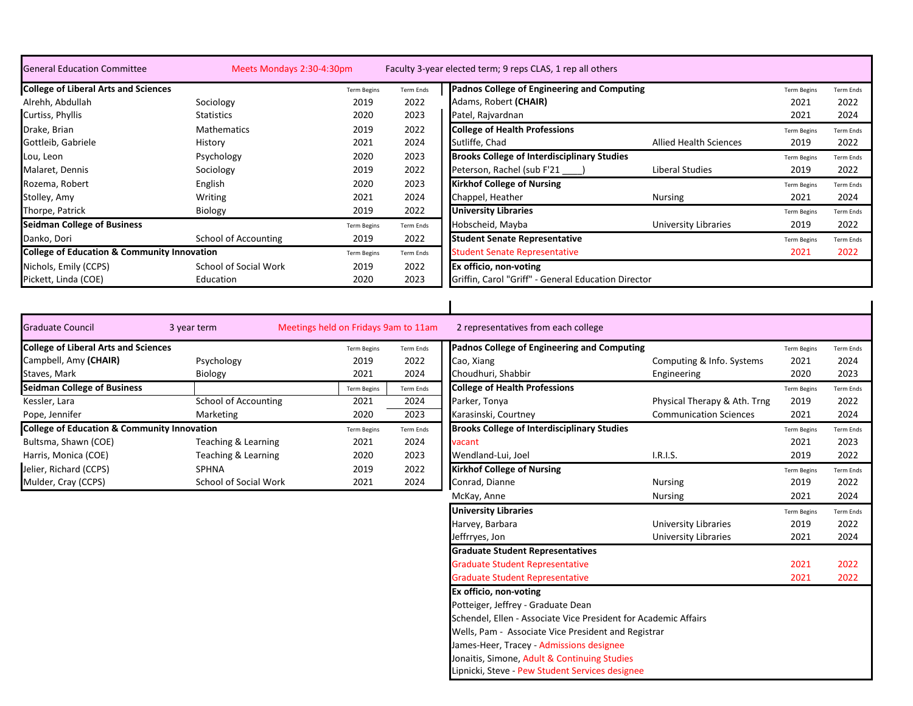| <b>General Education Committee</b>                     | Meets Mondays 2:30-4:30pm |                    |                  | Faculty 3-year elected term; 9 reps CLAS, 1 rep all others |                               |                    |                  |
|--------------------------------------------------------|---------------------------|--------------------|------------------|------------------------------------------------------------|-------------------------------|--------------------|------------------|
| <b>College of Liberal Arts and Sciences</b>            |                           | <b>Term Begins</b> | Term Ends        | Padnos College of Engineering and Computing                |                               | <b>Term Begins</b> | <b>Term Ends</b> |
| Alrehh, Abdullah                                       | Sociology                 | 2019               | 2022             | Adams, Robert (CHAIR)                                      |                               | 2021               | 2022             |
| Curtiss, Phyllis                                       | Statistics                | 2020               | 2023             | Patel, Rajvardnan                                          |                               | 2021               | 2024             |
| Drake, Brian                                           | <b>Mathematics</b>        | 2019               | 2022             | <b>College of Health Professions</b>                       |                               | <b>Term Begins</b> | <b>Term Ends</b> |
| Gottleib, Gabriele                                     | History                   | 2021               | 2024             | Sutliffe, Chad                                             | <b>Allied Health Sciences</b> | 2019               | 2022             |
| Lou, Leon                                              | Psychology                | 2020               | 2023             | <b>Brooks College of Interdisciplinary Studies</b>         |                               | <b>Term Begins</b> | <b>Term Ends</b> |
| Malaret, Dennis                                        | Sociology                 | 2019               | 2022             | Peterson, Rachel (sub F'21                                 | Liberal Studies               | 2019               | 2022             |
| Rozema, Robert                                         | English                   | 2020               | 2023             | <b>Kirkhof College of Nursing</b>                          |                               | <b>Term Begins</b> | <b>Term Ends</b> |
| Stolley, Amy                                           | Writing                   | 2021               | 2024             | Chappel, Heather                                           | <b>Nursing</b>                | 2021               | 2024             |
| Thorpe, Patrick                                        | Biology                   | 2019               | 2022             | <b>University Libraries</b>                                |                               | <b>Term Begins</b> | Term Ends        |
| <b>Seidman College of Business</b>                     |                           | <b>Term Begins</b> | Term Ends        | Hobscheid, Mayba                                           | University Libraries          | 2019               | 2022             |
| Danko, Dori                                            | School of Accounting      | 2019               | 2022             | <b>Student Senate Representative</b>                       |                               | <b>Term Begins</b> | Term Ends        |
| <b>College of Education &amp; Community Innovation</b> |                           | <b>Term Begins</b> | <b>Term Ends</b> | <b>Student Senate Representative</b>                       |                               | 2021               | 2022             |
| Nichols, Emily (CCPS)                                  | School of Social Work     | 2019               | 2022             | Ex officio, non-voting                                     |                               |                    |                  |
| Pickett, Linda (COE)                                   | Education                 | 2020               | 2023             | Griffin, Carol "Griff" - General Education Director        |                               |                    |                  |

| <b>Graduate Council</b>                                | 3 year term           | Meetings held on Fridays 9am to 11am |           | 2 representatives from each college                |                               |                    |                  |
|--------------------------------------------------------|-----------------------|--------------------------------------|-----------|----------------------------------------------------|-------------------------------|--------------------|------------------|
| <b>College of Liberal Arts and Sciences</b>            |                       | <b>Term Begins</b>                   | Term Ends | Padnos College of Engineering and Computing        |                               | <b>Term Begins</b> | <b>Term Ends</b> |
| Campbell, Amy (CHAIR)                                  | Psychology            | 2019                                 | 2022      | Cao, Xiang                                         | Computing & Info. Systems     | 2021               | 2024             |
| Staves, Mark                                           | <b>Biology</b>        | 2021                                 | 2024      | Choudhuri, Shabbir                                 | Engineering                   | 2020               | 2023             |
| <b>Seidman College of Business</b>                     |                       | <b>Term Begins</b>                   | Term Ends | <b>College of Health Professions</b>               |                               | <b>Term Begins</b> | <b>Term Ends</b> |
| Kessler, Lara                                          | School of Accounting  | 2021                                 | 2024      | Parker, Tonya                                      | Physical Therapy & Ath. Trng  | 2019               | 2022             |
| Pope, Jennifer                                         | Marketing             | 2020                                 | 2023      | Karasinski, Courtney                               | <b>Communication Sciences</b> | 2021               | 2024             |
| <b>College of Education &amp; Community Innovation</b> |                       | <b>Term Begins</b>                   | Term Ends | <b>Brooks College of Interdisciplinary Studies</b> |                               | <b>Term Begins</b> | <b>Term Ends</b> |
| Bultsma, Shawn (COE)                                   | Teaching & Learning   | 2021                                 | 2024      | vacant                                             |                               | 2021               | 2023             |
| Harris, Monica (COE)                                   | Teaching & Learning   | 2020                                 | 2023      | Wendland-Lui, Joel                                 | I.R.I.S.                      | 2019               | 2022             |
| Jelier, Richard (CCPS)                                 | <b>SPHNA</b>          | 2019                                 | 2022      | <b>Kirkhof College of Nursing</b>                  |                               | <b>Term Begins</b> | <b>Term Ends</b> |
| Mulder, Cray (CCPS)                                    | School of Social Work | 2021                                 | 2024      | Conrad, Dianne                                     | <b>Nursing</b>                | 2019               | 2022             |

|                    | <b>Fridays 9am to 11am</b> | 2 representatives from each college                             |                               |                    |                  |  |  |  |  |
|--------------------|----------------------------|-----------------------------------------------------------------|-------------------------------|--------------------|------------------|--|--|--|--|
| <b>Term Begins</b> | Term Ends                  | <b>Padnos College of Engineering and Computing</b>              |                               | <b>Term Begins</b> | <b>Term Ends</b> |  |  |  |  |
| 2019               | 2022                       | Cao, Xiang                                                      | Computing & Info. Systems     | 2021               | 2024             |  |  |  |  |
| 2021               | 2024                       | Choudhuri, Shabbir                                              | Engineering                   | 2020               | 2023             |  |  |  |  |
| <b>Term Begins</b> | <b>Term Ends</b>           | <b>College of Health Professions</b>                            |                               | <b>Term Begins</b> | Term Ends        |  |  |  |  |
| 2021               | 2024                       | Parker, Tonya                                                   | Physical Therapy & Ath. Trng  | 2019               | 2022             |  |  |  |  |
| 2020               | 2023                       | Karasinski, Courtney                                            | <b>Communication Sciences</b> | 2021               | 2024             |  |  |  |  |
| <b>Term Begins</b> | <b>Term Ends</b>           | <b>Brooks College of Interdisciplinary Studies</b>              |                               | <b>Term Begins</b> | <b>Term Ends</b> |  |  |  |  |
| 2021               | 2024                       | vacant                                                          |                               | 2021               | 2023             |  |  |  |  |
| 2020               | 2023                       | Wendland-Lui, Joel                                              | I.R.I.S.                      | 2019               | 2022             |  |  |  |  |
| 2019               | 2022                       | <b>Kirkhof College of Nursing</b>                               |                               | <b>Term Begins</b> | <b>Term Ends</b> |  |  |  |  |
| 2021               | 2024                       | Conrad, Dianne                                                  | <b>Nursing</b>                | 2019               | 2022             |  |  |  |  |
|                    |                            | McKay, Anne                                                     | <b>Nursing</b>                | 2021               | 2024             |  |  |  |  |
|                    |                            | <b>University Libraries</b>                                     |                               | <b>Term Begins</b> | Term Ends        |  |  |  |  |
|                    |                            | Harvey, Barbara                                                 | <b>University Libraries</b>   | 2019               | 2022             |  |  |  |  |
|                    |                            | Jeffrryes, Jon                                                  | <b>University Libraries</b>   | 2021               | 2024             |  |  |  |  |
|                    |                            | <b>Graduate Student Representatives</b>                         |                               |                    |                  |  |  |  |  |
|                    |                            | <b>Graduate Student Representative</b>                          |                               | 2021               | 2022             |  |  |  |  |
|                    |                            | <b>Graduate Student Representative</b>                          |                               | 2021               | 2022             |  |  |  |  |
|                    |                            | Ex officio, non-voting                                          |                               |                    |                  |  |  |  |  |
|                    |                            | Potteiger, Jeffrey - Graduate Dean                              |                               |                    |                  |  |  |  |  |
|                    |                            | Schendel, Ellen - Associate Vice President for Academic Affairs |                               |                    |                  |  |  |  |  |
|                    |                            | Wells, Pam - Associate Vice President and Registrar             |                               |                    |                  |  |  |  |  |
|                    |                            | James-Heer, Tracey - Admissions designee                        |                               |                    |                  |  |  |  |  |
|                    |                            | Jonaitis, Simone, Adult & Continuing Studies                    |                               |                    |                  |  |  |  |  |
|                    |                            | Lipnicki, Steve - Pew Student Services designee                 |                               |                    |                  |  |  |  |  |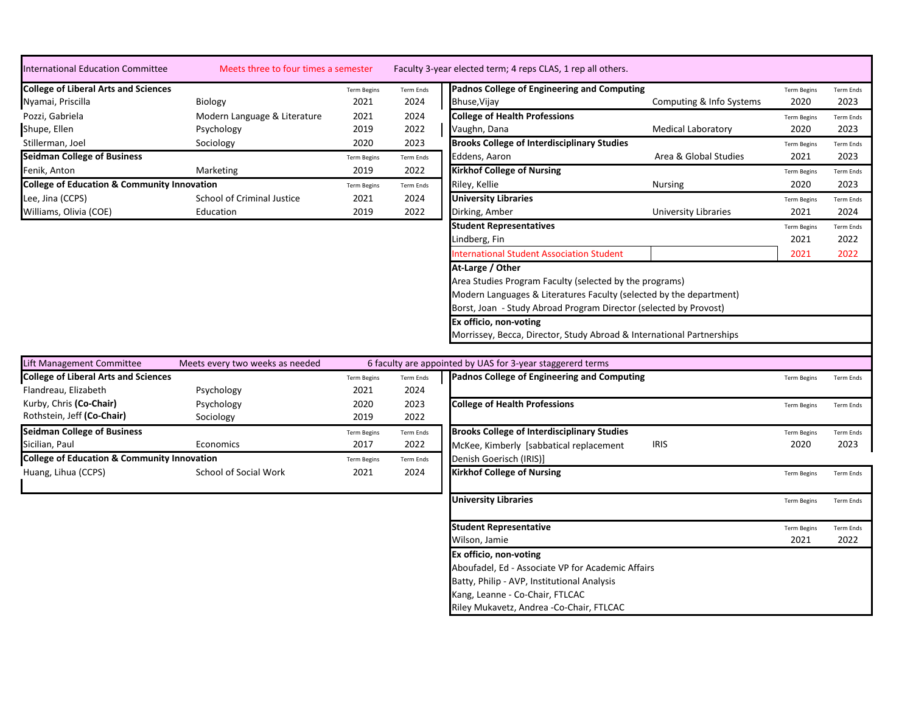| International Education Committee           | Meets three to four times a semester                   |                    |           | Faculty 3-year elected term; 4 reps CLAS, 1 rep all others. |                           |                    |                  |  |
|---------------------------------------------|--------------------------------------------------------|--------------------|-----------|-------------------------------------------------------------|---------------------------|--------------------|------------------|--|
| <b>College of Liberal Arts and Sciences</b> |                                                        | <b>Term Begins</b> | Term Ends | Padnos College of Engineering and Computing                 |                           | <b>Term Begins</b> | <b>Term Ends</b> |  |
| Nyamai, Priscilla                           | Biology                                                | 2021               | 2024      | Bhuse, Vijay                                                | Computing & Info Systems  | 2020               | 2023             |  |
| Pozzi, Gabriela                             | Modern Language & Literature                           | 2021               | 2024      | <b>College of Health Professions</b>                        |                           | <b>Term Begins</b> | <b>Term Ends</b> |  |
| Shupe, Ellen                                | Psychology                                             | 2019               | 2022      | Vaughn, Dana                                                | <b>Medical Laboratory</b> | 2020               | 2023             |  |
| Stillerman, Joel                            | Sociology                                              | 2020               | 2023      | <b>Brooks College of Interdisciplinary Studies</b>          |                           | <b>Term Begins</b> | <b>Term Ends</b> |  |
| <b>Seidman College of Business</b>          |                                                        | <b>Term Begins</b> | Term Ends | Eddens, Aaron                                               | Area & Global Studies     | 2021               | 2023             |  |
| Fenik, Anton                                | <b>Marketing</b>                                       | 2019               | 2022      | <b>Kirkhof College of Nursing</b>                           |                           | <b>Term Begins</b> | <b>Term Ends</b> |  |
|                                             | <b>College of Education &amp; Community Innovation</b> |                    | Term Ends | Riley, Kellie                                               | <b>Nursing</b>            | 2020               | 2023             |  |
| Lee, Jina (CCPS)                            | School of Criminal Justice                             | 2021               | 2024      | <b>University Libraries</b>                                 |                           | <b>Term Begins</b> | <b>Term Ends</b> |  |
| Williams, Olivia (COE)                      | Education                                              | 2019               | 2022      | Dirking, Amber                                              | University Libraries      | 2021               | 2024             |  |
|                                             |                                                        |                    |           | let de la provincia de la provincia de                      |                           |                    |                  |  |

| nester             |                  | Faculty 3-year elected term; 4 reps CLAS, 1 rep all others.           |                           |                    |                  |
|--------------------|------------------|-----------------------------------------------------------------------|---------------------------|--------------------|------------------|
| <b>Term Begins</b> | Term Ends        | Padnos College of Engineering and Computing                           |                           | <b>Term Begins</b> | <b>Term Ends</b> |
| 2021               | 2024             | Bhuse, Vijay                                                          | Computing & Info Systems  | 2020               | 2023             |
| 2021               | 2024             | <b>College of Health Professions</b>                                  |                           | <b>Term Begins</b> | <b>Term Ends</b> |
| 2019               | 2022             | Vaughn, Dana                                                          | <b>Medical Laboratory</b> | 2020               | 2023             |
| 2020               | 2023             | <b>Brooks College of Interdisciplinary Studies</b>                    |                           | <b>Term Begins</b> | <b>Term Ends</b> |
| <b>Term Begins</b> | <b>Term Ends</b> | Eddens, Aaron                                                         | Area & Global Studies     | 2021               | 2023             |
| 2019               | 2022             | <b>Kirkhof College of Nursing</b>                                     |                           | <b>Term Begins</b> | Term Ends        |
| <b>Term Begins</b> | <b>Term Ends</b> | Riley, Kellie                                                         | <b>Nursing</b>            | 2020               | 2023             |
| 2021               | 2024             | <b>University Libraries</b>                                           |                           | <b>Term Begins</b> | Term Ends        |
| 2019               | 2022             | Dirking, Amber                                                        | University Libraries      | 2021               | 2024             |
|                    |                  | <b>Student Representatives</b>                                        |                           | <b>Term Begins</b> | Term Ends        |
|                    |                  | Lindberg, Fin                                                         |                           | 2021               | 2022             |
|                    |                  | <b>International Student Association Student</b>                      |                           | 2021               | 2022             |
|                    |                  | At-Large / Other                                                      |                           |                    |                  |
|                    |                  | Area Studies Program Faculty (selected by the programs)               |                           |                    |                  |
|                    |                  | Modern Languages & Literatures Faculty (selected by the department)   |                           |                    |                  |
|                    |                  | Borst, Joan - Study Abroad Program Director (selected by Provost)     |                           |                    |                  |
|                    |                  | Ex officio, non-voting                                                |                           |                    |                  |
|                    |                  | Morrissey, Becca, Director, Study Abroad & International Partnerships |                           |                    |                  |
|                    |                  |                                                                       |                           |                    |                  |

| Lift Management Committee                              | Meets every two weeks as needed |                    |           | 6 faculty are appointed by UAS for 3-year staggererd terms |                    |                   |  |  |
|--------------------------------------------------------|---------------------------------|--------------------|-----------|------------------------------------------------------------|--------------------|-------------------|--|--|
| <b>College of Liberal Arts and Sciences</b>            |                                 | <b>Term Begins</b> | Term Ends | Padnos College of Engineering and Computing                | <b>Term Begins</b> | Term Ends         |  |  |
| Flandreau, Elizabeth                                   | Psychology                      | 2021               | 2024      |                                                            |                    |                   |  |  |
| Kurby, Chris (Co-Chair)                                | Psychology                      | 2020               | 2023      | <b>College of Health Professions</b>                       | <b>Term Begins</b> | Term Ends         |  |  |
| Rothstein, Jeff (Co-Chair)                             | Sociology                       | 2019               | 2022      |                                                            |                    |                   |  |  |
| <b>Seidman College of Business</b>                     |                                 | <b>Term Begins</b> | Term Ends | <b>Brooks College of Interdisciplinary Studies</b>         | <b>Term Begins</b> | Term Ends         |  |  |
| Sicilian, Paul                                         | Economics                       | 2017               | 2022      | <b>IRIS</b><br>McKee, Kimberly [sabbatical replacement]    | 2020               | 2023              |  |  |
| <b>College of Education &amp; Community Innovation</b> |                                 | <b>Term Begins</b> | Term Ends | Denish Goerisch (IRIS)]                                    |                    |                   |  |  |
| Huang, Lihua (CCPS)                                    | School of Social Work           | 2021               | 2024      | <b>Kirkhof College of Nursing</b>                          | <b>Term Begins</b> | Term Ends         |  |  |
|                                                        |                                 |                    |           |                                                            |                    |                   |  |  |
|                                                        |                                 |                    |           | <b>University Libraries</b>                                | <b>Term Begins</b> | Term Ends         |  |  |
|                                                        |                                 |                    |           | <b>Student Representative</b>                              | <b>Term Begins</b> |                   |  |  |
|                                                        |                                 |                    |           | Wilson, Jamie                                              | 2021               | Term Ends<br>2022 |  |  |
|                                                        |                                 |                    |           |                                                            |                    |                   |  |  |
|                                                        |                                 |                    |           | Ex officio, non-voting                                     |                    |                   |  |  |
|                                                        |                                 |                    |           | Aboufadel, Ed - Associate VP for Academic Affairs          |                    |                   |  |  |
|                                                        |                                 |                    |           | Batty, Philip - AVP, Institutional Analysis                |                    |                   |  |  |
|                                                        |                                 |                    |           | Kang, Leanne - Co-Chair, FTLCAC                            |                    |                   |  |  |
|                                                        |                                 |                    |           | Riley Mukavetz, Andrea -Co-Chair, FTLCAC                   |                    |                   |  |  |
|                                                        |                                 |                    |           |                                                            |                    |                   |  |  |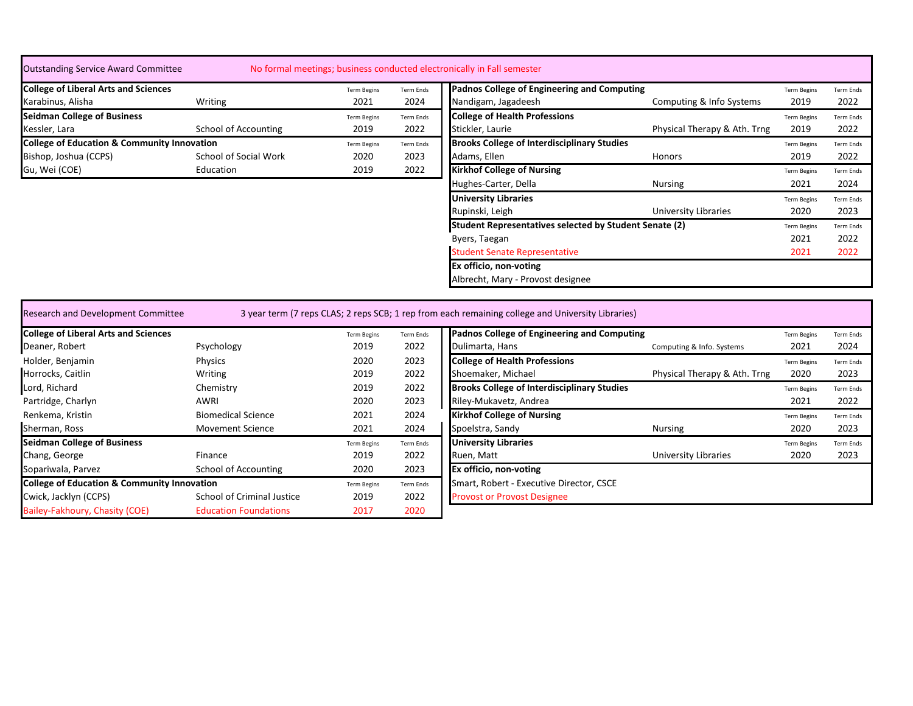| <b>Outstanding Service Award Committee</b>             |                        |                    |                  | No formal meetings; business conducted electronically in Fall semester                            |                              |                    |                  |
|--------------------------------------------------------|------------------------|--------------------|------------------|---------------------------------------------------------------------------------------------------|------------------------------|--------------------|------------------|
| <b>College of Liberal Arts and Sciences</b>            |                        | <b>Term Begins</b> | <b>Term Ends</b> | Padnos College of Engineering and Computing                                                       |                              | <b>Term Begins</b> | <b>Term Ends</b> |
| Karabinus, Alisha                                      | Writing                | 2021               | 2024             | Nandigam, Jagadeesh                                                                               | Computing & Info Systems     | 2019               | 2022             |
| <b>Seidman College of Business</b>                     |                        | <b>Term Begins</b> | <b>Term Ends</b> | <b>College of Health Professions</b>                                                              |                              | <b>Term Begins</b> | <b>Term Ends</b> |
| Kessler, Lara                                          | School of Accounting   | 2019               | 2022             | Stickler, Laurie                                                                                  | Physical Therapy & Ath. Trng | 2019               | 2022             |
| <b>College of Education &amp; Community Innovation</b> |                        | <b>Term Begins</b> | <b>Term Ends</b> | <b>Brooks College of Interdisciplinary Studies</b>                                                |                              | <b>Term Begins</b> | <b>Term Ends</b> |
| Bishop, Joshua (CCPS)                                  | School of Social Work  | 2020               | 2023             | Adams, Ellen                                                                                      | <b>Honors</b>                | 2019               | 2022             |
| Gu, Wei (COE)                                          | Education              | 2019               | 2022             | <b>Kirkhof College of Nursing</b>                                                                 |                              | <b>Term Begins</b> | <b>Term Ends</b> |
|                                                        |                        |                    |                  | Hughes-Carter, Della                                                                              | <b>Nursing</b>               | 2021               | 2024             |
|                                                        |                        |                    |                  | <b>University Libraries</b>                                                                       |                              | <b>Term Begins</b> | <b>Term Ends</b> |
|                                                        |                        |                    |                  | Rupinski, Leigh                                                                                   | <b>University Libraries</b>  | 2020               | 2023             |
|                                                        |                        |                    |                  | Student Representatives selected by Student Senate (2)                                            |                              | <b>Term Begins</b> | <b>Term Ends</b> |
|                                                        |                        |                    |                  | Byers, Taegan                                                                                     |                              | 2021               | 2022             |
|                                                        |                        |                    |                  | <b>Student Senate Representative</b>                                                              |                              | 2021               | 2022             |
|                                                        |                        |                    |                  | Ex officio, non-voting                                                                            |                              |                    |                  |
|                                                        |                        |                    |                  | Albrecht, Mary - Provost designee                                                                 |                              |                    |                  |
|                                                        |                        |                    |                  |                                                                                                   |                              |                    |                  |
| Research and Development Committee                     |                        |                    |                  | 3 year term (7 reps CLAS; 2 reps SCB; 1 rep from each remaining college and University Libraries) |                              |                    |                  |
| <b>College of Liberal Arts and Sciences</b>            |                        | <b>Term Begins</b> | Term Ends        | Padnos College of Engineering and Computing                                                       |                              | <b>Term Begins</b> | <b>Term Ends</b> |
| Deaner, Robert                                         | Psychology             | 2019               | 2022             | Dulimarta, Hans                                                                                   | Computing & Info. Systems    | 2021               | 2024             |
| the following the content of the                       | million and a state of | 2022               | 2022             | <b>Additional continuation in the continued</b>                                                   |                              |                    |                  |

| Holder, Benjamin<br>2023<br>Physics<br>2020<br>Horrocks, Caitlin<br>Shoemaker, Michael<br>2022<br>2019<br>Writing<br>Lord, Richard<br>2022<br>Chemistry<br>2019<br>Riley-Mukavetz, Andrea<br>Partridge, Charlyn<br>2023<br>2020<br>AWRI<br>Renkema, Kristin<br><b>Biomedical Science</b><br>2024<br>2021<br>Sherman, Ross<br>2024<br>Spoelstra, Sandy<br>2021<br><b>Movement Science</b><br><b>Seidman College of Business</b><br><b>University Libraries</b><br>Term Ends<br><b>Term Begins</b><br>2022<br>Chang, George<br>2019<br>Ruen, Matt<br>Finance<br>Ex officio, non-voting<br>Sopariwala, Parvez<br>School of Accounting<br>2023<br>2020<br><b>College of Education &amp; Community Innovation</b><br><b>Term Begins</b><br>Term Ends<br><b>School of Criminal Justice</b><br>Cwick, Jacklyn (CCPS)<br>2022<br>2019<br>Bailey-Fakhoury, Chasity (COE)<br><b>Education Foundations</b><br>2020<br>2017 | Deaner, Robert | Psychology | 2019 | 2022 | Dulimarta, Hans                     |
|-----------------------------------------------------------------------------------------------------------------------------------------------------------------------------------------------------------------------------------------------------------------------------------------------------------------------------------------------------------------------------------------------------------------------------------------------------------------------------------------------------------------------------------------------------------------------------------------------------------------------------------------------------------------------------------------------------------------------------------------------------------------------------------------------------------------------------------------------------------------------------------------------------------------|----------------|------------|------|------|-------------------------------------|
|                                                                                                                                                                                                                                                                                                                                                                                                                                                                                                                                                                                                                                                                                                                                                                                                                                                                                                                 |                |            |      |      | <b>College of Health Profession</b> |
|                                                                                                                                                                                                                                                                                                                                                                                                                                                                                                                                                                                                                                                                                                                                                                                                                                                                                                                 |                |            |      |      |                                     |
|                                                                                                                                                                                                                                                                                                                                                                                                                                                                                                                                                                                                                                                                                                                                                                                                                                                                                                                 |                |            |      |      | <b>Brooks College of Interdisci</b> |
|                                                                                                                                                                                                                                                                                                                                                                                                                                                                                                                                                                                                                                                                                                                                                                                                                                                                                                                 |                |            |      |      |                                     |
|                                                                                                                                                                                                                                                                                                                                                                                                                                                                                                                                                                                                                                                                                                                                                                                                                                                                                                                 |                |            |      |      | <b>Kirkhof College of Nursing</b>   |
|                                                                                                                                                                                                                                                                                                                                                                                                                                                                                                                                                                                                                                                                                                                                                                                                                                                                                                                 |                |            |      |      |                                     |
|                                                                                                                                                                                                                                                                                                                                                                                                                                                                                                                                                                                                                                                                                                                                                                                                                                                                                                                 |                |            |      |      |                                     |
|                                                                                                                                                                                                                                                                                                                                                                                                                                                                                                                                                                                                                                                                                                                                                                                                                                                                                                                 |                |            |      |      |                                     |
|                                                                                                                                                                                                                                                                                                                                                                                                                                                                                                                                                                                                                                                                                                                                                                                                                                                                                                                 |                |            |      |      |                                     |
|                                                                                                                                                                                                                                                                                                                                                                                                                                                                                                                                                                                                                                                                                                                                                                                                                                                                                                                 |                |            |      |      | Smart, Robert - Executive Di        |
|                                                                                                                                                                                                                                                                                                                                                                                                                                                                                                                                                                                                                                                                                                                                                                                                                                                                                                                 |                |            |      |      | <b>Provost or Provost Designee</b>  |
|                                                                                                                                                                                                                                                                                                                                                                                                                                                                                                                                                                                                                                                                                                                                                                                                                                                                                                                 |                |            |      |      |                                     |

| <b>College of Liberal Arts and Sciences</b>            |                            | <b>Term Begins</b> | <b>Term Ends</b> | Padnos College of Engineering and Computing        |                              | <b>Term Begins</b> | Term Ends        |
|--------------------------------------------------------|----------------------------|--------------------|------------------|----------------------------------------------------|------------------------------|--------------------|------------------|
| Deaner, Robert                                         | Psychology                 | 2019               | 2022             | Dulimarta, Hans                                    | Computing & Info. Systems    | 2021               | 2024             |
| Holder, Benjamin                                       | Physics                    | 2020               | 2023             | <b>College of Health Professions</b>               |                              | <b>Term Begins</b> | <b>Term Ends</b> |
| Horrocks, Caitlin                                      | Writing                    | 2019               | 2022             | Shoemaker, Michael                                 | Physical Therapy & Ath. Trng | 2020               | 2023             |
| Lord, Richard                                          | Chemistry                  | 2019               | 2022             | <b>Brooks College of Interdisciplinary Studies</b> |                              | <b>Term Begins</b> | Term Ends        |
| Partridge, Charlyn                                     | AWRI                       | 2020               | 2023             | Riley-Mukavetz, Andrea                             |                              | 2021               | 2022             |
| Renkema, Kristin                                       | <b>Biomedical Science</b>  | 2021               | 2024             | <b>Kirkhof College of Nursing</b>                  |                              | <b>Term Begins</b> | <b>Term Ends</b> |
| Sherman, Ross                                          | <b>Movement Science</b>    | 2021               | 2024             | Spoelstra, Sandy                                   | Nursing                      | 2020               | 2023             |
| <b>Seidman College of Business</b>                     |                            | <b>Term Begins</b> | Term Ends        | <b>University Libraries</b>                        |                              | <b>Term Begins</b> | Term Ends        |
| Chang, George                                          | Finance                    | 2019               | 2022             | Ruen, Matt                                         | <b>University Libraries</b>  | 2020               | 2023             |
| Sopariwala, Parvez                                     | School of Accounting       | 2020               | 2023             | <b>Ex officio, non-voting</b>                      |                              |                    |                  |
| <b>College of Education &amp; Community Innovation</b> |                            | <b>Term Begins</b> | Term Ends        | Smart, Robert - Executive Director, CSCE           |                              |                    |                  |
| Cwick, Jacklyn (CCPS)                                  | School of Criminal Justice | 2019               | 2022             | <b>Provost or Provost Designee</b>                 |                              |                    |                  |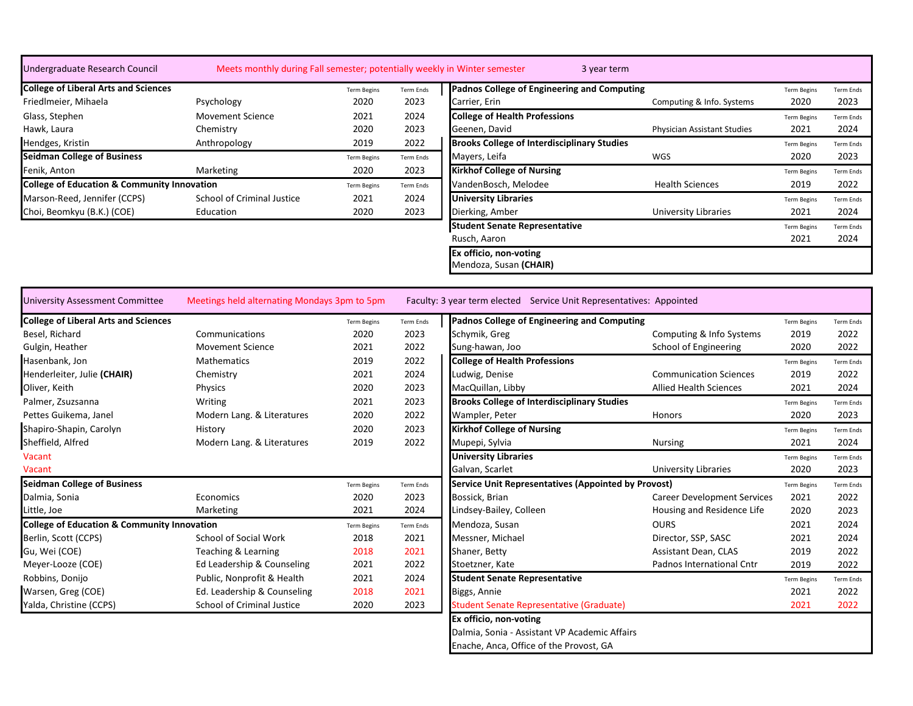| Undergraduate Research Council                         | Meets monthly during Fall semester; potentially weekly in Winter semester |                    |                  | 3 year term                                                          |                                    |                    |                  |
|--------------------------------------------------------|---------------------------------------------------------------------------|--------------------|------------------|----------------------------------------------------------------------|------------------------------------|--------------------|------------------|
| <b>College of Liberal Arts and Sciences</b>            |                                                                           | <b>Term Begins</b> | Term Ends        | Padnos College of Engineering and Computing                          |                                    | <b>Term Begins</b> | Term Ends        |
| Friedlmeier, Mihaela                                   | Psychology                                                                | 2020               | 2023             | Carrier, Erin                                                        | Computing & Info. Systems          | 2020               | 2023             |
| Glass, Stephen                                         | <b>Movement Science</b>                                                   | 2021               | 2024             | <b>College of Health Professions</b>                                 |                                    | <b>Term Begins</b> | <b>Term Ends</b> |
| Hawk, Laura                                            | Chemistry                                                                 | 2020               | 2023             | Geenen, David                                                        | <b>Physician Assistant Studies</b> | 2021               | 2024             |
| Hendges, Kristin                                       | Anthropology                                                              | 2019               | 2022             | <b>Brooks College of Interdisciplinary Studies</b>                   |                                    | <b>Term Begins</b> | <b>Term Ends</b> |
| <b>Seidman College of Business</b>                     |                                                                           | <b>Term Begins</b> | <b>Term Ends</b> | Mayers, Leifa                                                        | WGS                                | 2020               | 2023             |
| Fenik, Anton                                           | Marketing                                                                 | 2020               | 2023             | <b>Kirkhof College of Nursing</b>                                    |                                    | <b>Term Begins</b> | <b>Term Ends</b> |
| <b>College of Education &amp; Community Innovation</b> |                                                                           | <b>Term Begins</b> | Term Ends        | VandenBosch, Melodee                                                 | <b>Health Sciences</b>             | 2019               | 2022             |
| Marson-Reed, Jennifer (CCPS)                           | School of Criminal Justice                                                | 2021               | 2024             | <b>University Libraries</b>                                          |                                    | <b>Term Begins</b> | <b>Term Ends</b> |
| Choi, Beomkyu (B.K.) (COE)                             | Education                                                                 | 2020               | 2023             | Dierking, Amber                                                      | <b>University Libraries</b>        | 2021               | 2024             |
|                                                        |                                                                           |                    |                  | <b>Student Senate Representative</b>                                 |                                    | <b>Term Begins</b> | <b>Term Ends</b> |
|                                                        |                                                                           |                    |                  | Rusch, Aaron                                                         |                                    | 2021               | 2024             |
|                                                        |                                                                           |                    |                  | Ex officio, non-voting                                               |                                    |                    |                  |
|                                                        |                                                                           |                    |                  | Mendoza, Susan (CHAIR)                                               |                                    |                    |                  |
|                                                        |                                                                           |                    |                  |                                                                      |                                    |                    |                  |
| <b>University Assessment Committee</b>                 | Meetings held alternating Mondays 3pm to 5pm                              |                    |                  | Faculty: 3 year term elected Service Unit Representatives: Appointed |                                    |                    |                  |
| <b>College of Liberal Arts and Sciences</b>            |                                                                           | Term Begins        | Term Ends        | Padnos College of Engineering and Computing                          |                                    | <b>Term Begins</b> | <b>Term Ends</b> |
| Besel, Richard                                         | Communications                                                            | 2020               | 2023             | Schymik, Greg                                                        | Computing & Info Systems           | 2019               | 2022             |
| Gulgin, Heather                                        | <b>Movement Science</b>                                                   | 2021               | 2022             | Sung-hawan, Joo                                                      | School of Engineering              | 2020               | 2022             |
| Hasenbank, Jon                                         | <b>Mathematics</b>                                                        | 2019               | 2022             | <b>College of Health Professions</b>                                 |                                    | <b>Term Begins</b> | <b>Term Ends</b> |
| Henderleiter, Julie (CHAIR)                            | Chemistry                                                                 | 2021               | 2024             | Ludwig, Denise                                                       | <b>Communication Sciences</b>      | 2019               | 2022             |
| Oliver, Keith                                          | Physics                                                                   | 2020               | 2023             | MacQuillan, Libby                                                    | <b>Allied Health Sciences</b>      | 2021               | 2024             |
| Palmer, Zsuzsanna                                      | Writing                                                                   | 2021               | 2023             | <b>Brooks College of Interdisciplinary Studies</b>                   |                                    | <b>Term Begins</b> | <b>Term Ends</b> |
| Pettes Guikema, Janel                                  | Modern Lang. & Literatures                                                | 2020               | 2022             | Wampler, Peter                                                       | <b>Honors</b>                      | 2020               | 2023             |
| Shapiro-Shapin, Carolyn                                | History                                                                   | 2020               | 2023             | <b>Kirkhof College of Nursing</b>                                    |                                    | <b>Term Begins</b> | <b>Term Ends</b> |
| Sheffield, Alfred                                      | Modern Lang. & Literatures                                                | 2019               | 2022             | Mupepi, Sylvia                                                       | <b>Nursing</b>                     | 2021               | 2024             |
| Vacant                                                 |                                                                           |                    |                  | <b>University Libraries</b>                                          |                                    | <b>Term Begins</b> | <b>Term Ends</b> |
| Vacant                                                 |                                                                           |                    |                  | Galvan, Scarlet                                                      | <b>University Libraries</b>        | 2020               | 2023             |
| <b>Seidman College of Business</b>                     |                                                                           | <b>Term Begins</b> | <b>Term Ends</b> | <b>Service Unit Representatives (Appointed by Provost)</b>           |                                    | <b>Term Begins</b> | <b>Term Ends</b> |
| Dalmia, Sonia                                          | Economics                                                                 | 2020               | 2023             | Bossick, Brian                                                       | <b>Career Development Services</b> | 2021               | 2022             |
| Little, Joe                                            | Marketing                                                                 | 2021               | 2024             | Lindsey-Bailey, Colleen                                              | Housing and Residence Life         | 2020               | 2023             |
| <b>College of Education &amp; Community Innovation</b> |                                                                           | <b>Term Begins</b> | Term Ends        | Mendoza, Susan                                                       | <b>OURS</b>                        | 2021               | 2024             |
| Berlin, Scott (CCPS)                                   | School of Social Work                                                     | 2018               | 2021             | Messner, Michael                                                     | Director, SSP, SASC                | 2021               | 2024             |
| Gu, Wei (COE)                                          | Teaching & Learning                                                       | 2018               | 2021             | Shaner, Betty                                                        | Assistant Dean, CLAS               | 2019               | 2022             |
| Meyer-Looze (COE)                                      | Ed Leadership & Counseling                                                | 2021               | 2022             | Stoetzner, Kate                                                      | Padnos International Cntr          | 2019               | 2022             |
| Robbins, Donijo                                        | Public, Nonprofit & Health                                                | 2021               | 2024             | <b>Student Senate Representative</b>                                 |                                    | <b>Term Begins</b> | <b>Term Ends</b> |
| Warsen, Greg (COE)                                     | Ed. Leadership & Counseling                                               | 2018               | 2021             | Biggs, Annie                                                         |                                    | 2021               | 2022             |
| Yalda, Christine (CCPS)                                | School of Criminal Justice                                                | 2020               | 2023             | Student Senate Representative (Graduate)                             |                                    | 2021               | 2022             |
|                                                        |                                                                           |                    |                  | Ex officio, non-voting                                               |                                    |                    |                  |

Dalmia, Sonia - Assistant VP Academic Affairs Enache, Anca, Office of the Provost, GA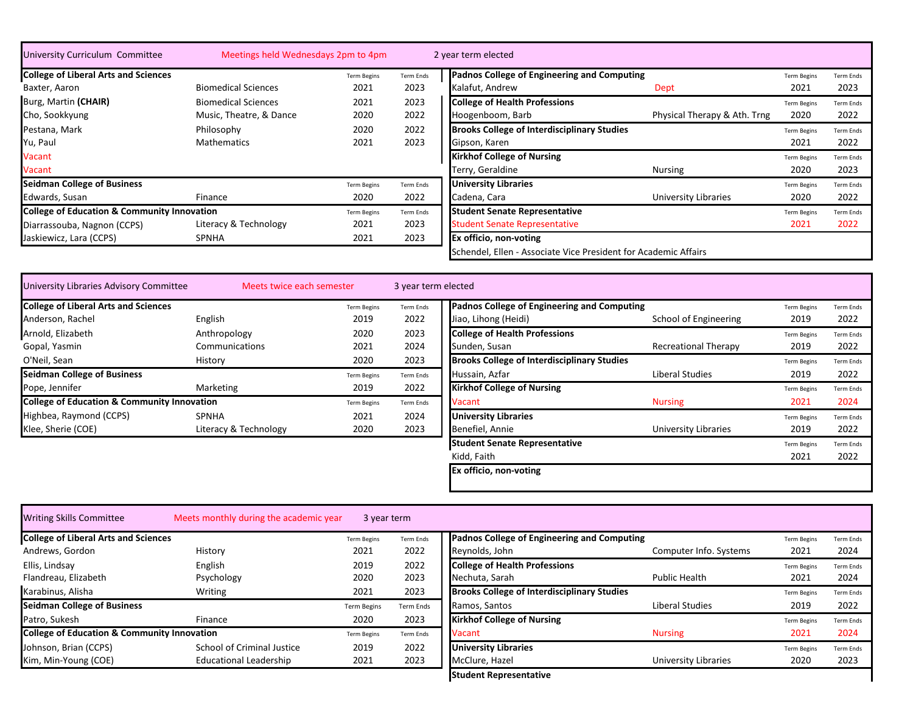| University Curriculum Committee                        | Meetings held Wednesdays 2pm to 4pm |                    |           | 2 year term elected                                             |                              |                    |                  |
|--------------------------------------------------------|-------------------------------------|--------------------|-----------|-----------------------------------------------------------------|------------------------------|--------------------|------------------|
| <b>College of Liberal Arts and Sciences</b>            |                                     | <b>Term Begins</b> | Term Ends | Padnos College of Engineering and Computing                     |                              | <b>Term Begins</b> | Term Ends        |
| Baxter, Aaron                                          | <b>Biomedical Sciences</b>          | 2021               | 2023      | Kalafut. Andrew                                                 | Dept                         | 2021               | 2023             |
| Burg, Martin (CHAIR)                                   | <b>Biomedical Sciences</b>          | 2021               | 2023      | <b>College of Health Professions</b>                            |                              | <b>Term Begins</b> | Term Ends        |
| Cho, Sookkyung                                         | Music, Theatre, & Dance             | 2020               | 2022      | Hoogenboom, Barb                                                | Physical Therapy & Ath. Trng | 2020               | 2022             |
| Pestana, Mark                                          | Philosophy                          | 2020               | 2022      | <b>Brooks College of Interdisciplinary Studies</b>              |                              | <b>Term Begins</b> | <b>Term Ends</b> |
| Yu, Paul                                               | Mathematics                         | 2021               | 2023      | Gipson, Karen                                                   |                              | 2021               | 2022             |
| <b>Vacant</b>                                          |                                     |                    |           | <b>Kirkhof College of Nursing</b>                               |                              | <b>Term Begins</b> | Term Ends        |
| <b>Vacant</b>                                          |                                     |                    |           | Terry, Geraldine                                                | Nursing                      | 2020               | 2023             |
| <b>Seidman College of Business</b>                     |                                     | <b>Term Begins</b> | Term Ends | <b>University Libraries</b>                                     |                              | <b>Term Begins</b> | Term Ends        |
| Edwards, Susan                                         | Finance                             | 2020               | 2022      | Cadena, Cara                                                    | University Libraries         | 2020               | 2022             |
| <b>College of Education &amp; Community Innovation</b> |                                     | <b>Term Begins</b> | Term Ends | <b>Student Senate Representative</b>                            |                              | <b>Term Begins</b> | Term Ends        |
| Diarrassouba, Nagnon (CCPS)                            | Literacy & Technology               | 2021               | 2023      | <b>Student Senate Representative</b>                            |                              | 2021               | 2022             |
| Jaskiewicz, Lara (CCPS)                                | <b>SPNHA</b>                        | 2021               | 2023      | <b>Ex officio, non-voting</b>                                   |                              |                    |                  |
|                                                        |                                     |                    |           | Schendel, Ellen - Associate Vice President for Academic Affairs |                              |                    |                  |

| University Libraries Advisory Committee                | Meets twice each semester |                    | 3 year term elected |                                                    |                             |                    |                  |
|--------------------------------------------------------|---------------------------|--------------------|---------------------|----------------------------------------------------|-----------------------------|--------------------|------------------|
| <b>College of Liberal Arts and Sciences</b>            |                           | Term Begins        | Term Ends           | Padnos College of Engineering and Computing        |                             | <b>Term Begins</b> | <b>Term Ends</b> |
| Anderson, Rachel                                       | English                   | 2019               | 2022                | Jiao, Lihong (Heidi)                               | School of Engineering       | 2019               | 2022             |
| Arnold, Elizabeth                                      | Anthropology              | 2020               | 2023                | <b>College of Health Professions</b>               |                             | <b>Term Begins</b> | <b>Term Ends</b> |
| Gopal, Yasmin                                          | Communications            | 2021               | 2024                | Sunden, Susan                                      | <b>Recreational Therapy</b> | 2019               | 2022             |
| O'Neil, Sean                                           | History                   | 2020               | 2023                | <b>Brooks College of Interdisciplinary Studies</b> |                             | <b>Term Begins</b> | <b>Term Ends</b> |
| <b>Seidman College of Business</b>                     |                           | <b>Term Begins</b> | Term Ends           | Hussain, Azfar                                     | Liberal Studies             | 2019               | 2022             |
| Pope, Jennifer                                         | Marketing                 | 2019               | 2022                | <b>Kirkhof College of Nursing</b>                  |                             | <b>Term Begins</b> | <b>Term Ends</b> |
| <b>College of Education &amp; Community Innovation</b> |                           | <b>Term Begins</b> | Term Ends           | <b>Vacant</b>                                      | <b>Nursing</b>              | 2021               | 2024             |
| Highbea, Raymond (CCPS)                                | <b>SPNHA</b>              | 2021               | 2024                | <b>University Libraries</b>                        |                             | <b>Term Begins</b> | <b>Term Ends</b> |
| Klee, Sherie (COE)                                     | Literacy & Technology     | 2020               | 2023                | Benefiel, Annie                                    | University Libraries        | 2019               | 2022             |
|                                                        |                           |                    |                     | <b>Student Senate Representative</b>               |                             | <b>Term Begins</b> | <b>Term Ends</b> |
|                                                        |                           |                    |                     | Kidd, Faith                                        |                             | 2021               | 2022             |

| <b>Writing Skills Committee</b>                        | Meets monthly during the academic year | 3 year term        |                  |                                                    |                        |                    |           |
|--------------------------------------------------------|----------------------------------------|--------------------|------------------|----------------------------------------------------|------------------------|--------------------|-----------|
| <b>College of Liberal Arts and Sciences</b>            |                                        | <b>Term Begins</b> | <b>Term Ends</b> | Padnos College of Engineering and Computing        |                        | <b>Term Begins</b> | Term Ends |
| Andrews, Gordon                                        | History                                | 2021               | 2022             | Reynolds, John                                     | Computer Info. Systems | 2021               | 2024      |
| Ellis, Lindsay                                         | English                                | 2019               | 2022             | <b>College of Health Professions</b>               |                        | <b>Term Begins</b> | Term Ends |
| Flandreau, Elizabeth                                   | Psychology                             | 2020               | 2023             | Nechuta, Sarah                                     | Public Health          | 2021               | 2024      |
| Karabinus, Alisha                                      | Writing                                | 2021               | 2023             | <b>Brooks College of Interdisciplinary Studies</b> |                        | <b>Term Begins</b> | Term Ends |
| <b>Seidman College of Business</b>                     |                                        | <b>Term Begins</b> | Term Ends        | Ramos, Santos                                      | Liberal Studies        | 2019               | 2022      |
| Patro, Sukesh                                          | Finance                                | 2020               | 2023             | <b>Kirkhof College of Nursing</b>                  |                        | <b>Term Begins</b> | Term Ends |
| <b>College of Education &amp; Community Innovation</b> |                                        | <b>Term Begins</b> | <b>Term Ends</b> | Vacant                                             | <b>Nursing</b>         | 2021               | 2024      |
| Johnson, Brian (CCPS)                                  | <b>School of Criminal Justice</b>      | 2019               | 2022             | <b>University Libraries</b>                        |                        | <b>Term Begins</b> | Term Ends |
| Kim, Min-Young (COE)                                   | <b>Educational Leadership</b>          | 2021               | 2023             | McClure, Hazel                                     | University Libraries   | 2020               | 2023      |
|                                                        |                                        |                    |                  | <b>Student Representative</b>                      |                        |                    |           |

**Ex officio, non-voting**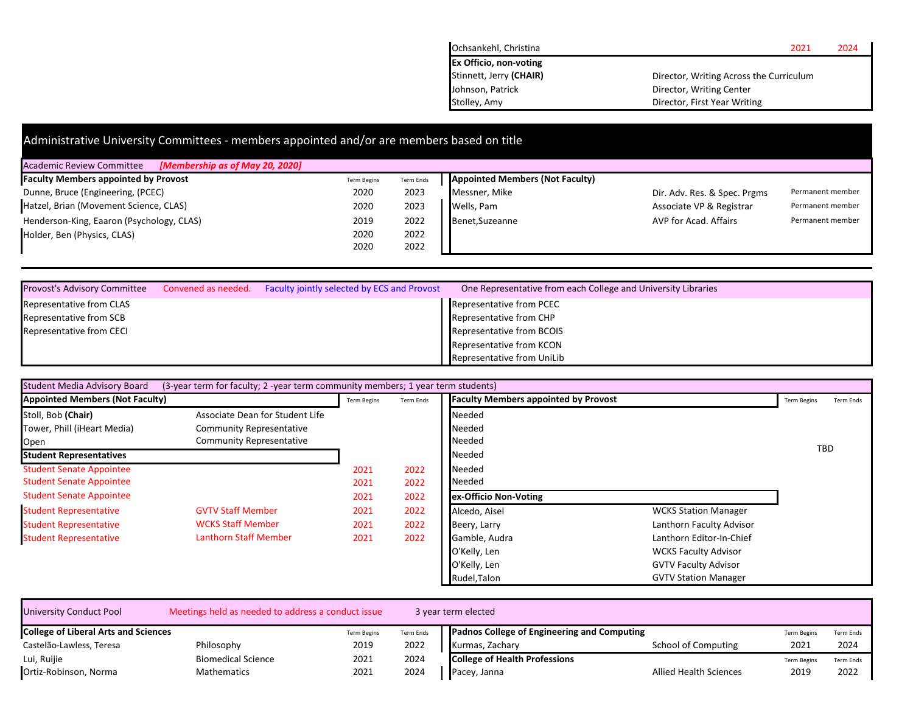| Ochsankehl, Christina         | 2024<br>2021                            |
|-------------------------------|-----------------------------------------|
| <b>Ex Officio, non-voting</b> |                                         |
| Stinnett, Jerry (CHAIR)       | Director, Writing Across the Curriculum |
| Johnson, Patrick              | Director, Writing Center                |
| Stolley, Amy                  | Director, First Year Writing            |

| Administrative University Committees - members appointed and/or are members based on title |                    |           |                                        |                              |                  |  |  |  |
|--------------------------------------------------------------------------------------------|--------------------|-----------|----------------------------------------|------------------------------|------------------|--|--|--|
| [Membership as of May 20, 2020]<br><b>Academic Review Committee</b>                        |                    |           |                                        |                              |                  |  |  |  |
| <b>Faculty Members appointed by Provost</b>                                                | <b>Term Begins</b> | Term Ends | <b>Appointed Members (Not Faculty)</b> |                              |                  |  |  |  |
| Dunne, Bruce (Engineering, (PCEC)                                                          | 2020               | 2023      | Messner, Mike                          | Dir. Adv. Res. & Spec. Prgms | Permanent member |  |  |  |
| Hatzel, Brian (Movement Science, CLAS)                                                     | 2020               | 2023      | Wells, Pam                             | Associate VP & Registrar     | Permanent member |  |  |  |
| Henderson-King, Eaaron (Psychology, CLAS)                                                  | 2019               | 2022      | Benet.Suzeanne                         | AVP for Acad. Affairs        | Permanent member |  |  |  |
| Holder, Ben (Physics, CLAS)                                                                | 2020               | 2022      |                                        |                              |                  |  |  |  |
|                                                                                            | 2020               | 2022      |                                        |                              |                  |  |  |  |

| <b>Provost's Advisory Committee</b> | Convened as needed. Faculty jointly selected by ECS and Provost | One Representative from each College and University Libraries |  |
|-------------------------------------|-----------------------------------------------------------------|---------------------------------------------------------------|--|
| <b>Representative from CLAS</b>     |                                                                 | Representative from PCEC                                      |  |
| Representative from SCB             |                                                                 | Representative from CHP                                       |  |
| Representative from CECI            |                                                                 | Representative from BCOIS                                     |  |
|                                     |                                                                 | Representative from KCON                                      |  |
|                                     |                                                                 | Representative from UniLib                                    |  |

| Student Media Advisory Board           | (3-year term for faculty; 2 -year term community members; 1 year term students) |                    |           |                                             |                             |                                 |
|----------------------------------------|---------------------------------------------------------------------------------|--------------------|-----------|---------------------------------------------|-----------------------------|---------------------------------|
| <b>Appointed Members (Not Faculty)</b> |                                                                                 | <b>Term Begins</b> | Term Ends | <b>Faculty Members appointed by Provost</b> |                             | <b>Term Begins</b><br>Term Ends |
| Stoll, Bob (Chair)                     | Associate Dean for Student Life                                                 |                    |           | Needed                                      |                             |                                 |
| Tower, Phill (iHeart Media)            | <b>Community Representative</b>                                                 |                    |           | Needed                                      |                             |                                 |
| Open                                   | <b>Community Representative</b>                                                 |                    |           | Needed                                      |                             |                                 |
| <b>Student Representatives</b>         |                                                                                 |                    |           | Needed                                      |                             | <b>TBD</b>                      |
| <b>Student Senate Appointee</b>        |                                                                                 | 2021               | 2022      | Needed                                      |                             |                                 |
| <b>Student Senate Appointee</b>        |                                                                                 | 2021               | 2022      | Needed                                      |                             |                                 |
| <b>Student Senate Appointee</b>        |                                                                                 | 2021               | 2022      | ex-Officio Non-Voting                       |                             |                                 |
| <b>Student Representative</b>          | <b>GVTV Staff Member</b>                                                        | 2021               | 2022      | Alcedo, Aisel                               | <b>WCKS Station Manager</b> |                                 |
| <b>Student Representative</b>          | <b>WCKS Staff Member</b>                                                        | 2021               | 2022      | Beery, Larry                                | Lanthorn Faculty Advisor    |                                 |
| <b>Student Representative</b>          | <b>Lanthorn Staff Member</b>                                                    | 2021               | 2022      | Gamble, Audra                               | Lanthorn Editor-In-Chief    |                                 |
|                                        |                                                                                 |                    |           | O'Kelly, Len                                | <b>WCKS Faculty Advisor</b> |                                 |
|                                        |                                                                                 |                    |           | O'Kelly, Len                                | <b>GVTV Faculty Advisor</b> |                                 |
|                                        |                                                                                 |                    |           | Rudel, Talon                                | <b>GVTV Station Manager</b> |                                 |

| University Conduct Pool                     | Meetings held as needed to address a conduct issue |                    |           | 3 year term elected                         |                               |                    |                  |
|---------------------------------------------|----------------------------------------------------|--------------------|-----------|---------------------------------------------|-------------------------------|--------------------|------------------|
| <b>College of Liberal Arts and Sciences</b> |                                                    | <b>Term Begins</b> | Term Ends | Padnos College of Engineering and Computing |                               | <b>Term Begins</b> | <b>Term Ends</b> |
| Castelão-Lawless, Teresa                    | Philosophy                                         | 2019               | 2022      | Kurmas, Zachary                             | School of Computing           | 2021               | 2024             |
| Lui, Ruijie                                 | <b>Biomedical Science</b>                          | 2021               | 2024      | <b>College of Health Professions</b>        |                               | Term Begin:        | <b>Term Ends</b> |
| Ortiz-Robinson, Norma                       | <b>Mathematics</b>                                 | 2021               | 2024      | Pacey, Janna                                | <b>Allied Health Sciences</b> | 2019               | 2022             |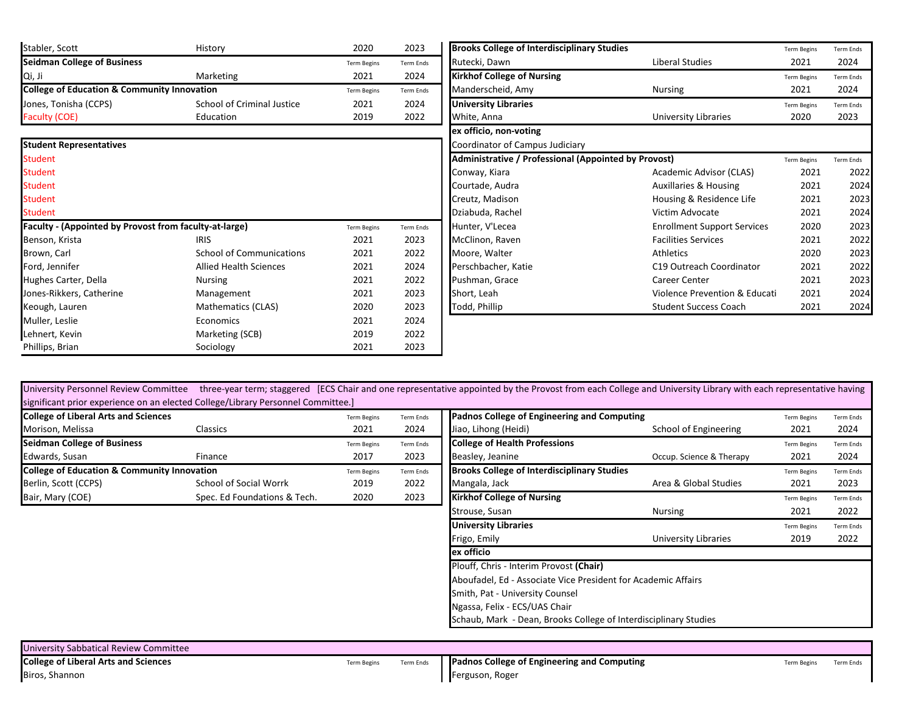| Stabler, Scott                                         | History                         | 2020               | 2023      | <b>Brooks College of Interdisciplinary Studies</b>   |                                    | <b>Term Begins</b> | Term Ends |
|--------------------------------------------------------|---------------------------------|--------------------|-----------|------------------------------------------------------|------------------------------------|--------------------|-----------|
| <b>Seidman College of Business</b>                     |                                 | <b>Term Begins</b> | Term Ends | Rutecki, Dawn                                        | Liberal Studies                    | 2021               | 2024      |
| Qi, Ji                                                 | Marketing                       | 2021               | 2024      | <b>Kirkhof College of Nursing</b>                    |                                    | <b>Term Begins</b> | Term Ends |
| <b>College of Education &amp; Community Innovation</b> |                                 | <b>Term Begins</b> | Term Ends | Manderscheid, Amy                                    | Nursing                            | 2021               | 2024      |
| Jones, Tonisha (CCPS)                                  | School of Criminal Justice      | 2021               | 2024      | <b>University Libraries</b>                          |                                    | <b>Term Begins</b> | Term Ends |
| Faculty (COE)                                          | Education                       | 2019               | 2022      | White, Anna                                          | <b>University Libraries</b>        | 2020               | 2023      |
|                                                        |                                 |                    |           | ex officio, non-voting                               |                                    |                    |           |
| <b>Student Representatives</b>                         |                                 |                    |           | Coordinator of Campus Judiciary                      |                                    |                    |           |
| Student                                                |                                 |                    |           | Administrative / Professional (Appointed by Provost) |                                    | <b>Term Begins</b> | Term Ends |
| <b>Student</b>                                         |                                 |                    |           | Conway, Kiara                                        | Academic Advisor (CLAS)            | 2021               | 2022      |
| <b>Student</b>                                         |                                 |                    |           | Courtade, Audra                                      | <b>Auxillaries &amp; Housing</b>   | 2021               | 2024      |
| Student                                                |                                 |                    |           | Creutz, Madison                                      | Housing & Residence Life           | 2021               | 2023      |
| <b>Student</b>                                         |                                 |                    |           | Dziabuda, Rachel                                     | Victim Advocate                    | 2021               | 2024      |
| Faculty - (Appointed by Provost from faculty-at-large) |                                 | <b>Term Begins</b> | Term Ends | Hunter, V'Lecea                                      | <b>Enrollment Support Services</b> | 2020               | 2023      |
| Benson, Krista                                         | <b>IRIS</b>                     | 2021               | 2023      | McClinon, Raven                                      | <b>Facilities Services</b>         | 2021               | 2022      |
| Brown, Carl                                            | <b>School of Communications</b> | 2021               | 2022      | Moore, Walter                                        | Athletics                          | 2020               | 2023      |
| Ford, Jennifer                                         | <b>Allied Health Sciences</b>   | 2021               | 2024      | Perschbacher, Katie                                  | C19 Outreach Coordinator           | 2021               | 2022      |
| Hughes Carter, Della                                   | <b>Nursing</b>                  | 2021               | 2022      | Pushman, Grace                                       | <b>Career Center</b>               | 2021               | 2023      |
| Jones-Rikkers, Catherine                               | Management                      | 2021               | 2023      | Short, Leah                                          | Violence Prevention & Educati      | 2021               | 2024      |
| Keough, Lauren                                         | Mathematics (CLAS)              | 2020               | 2023      | Todd, Phillip                                        | <b>Student Success Coach</b>       | 2021               | 2024      |
| Muller, Leslie                                         | Economics                       | 2021               | 2024      |                                                      |                                    |                    |           |
| Lehnert, Kevin                                         | Marketing (SCB)                 | 2019               | 2022      |                                                      |                                    |                    |           |
| Phillips, Brian                                        | Sociology                       | 2021               | 2023      |                                                      |                                    |                    |           |

University Personnel Review Committee three-year term; staggered [ECS Chair and one representative appointed by the Provost from each College and University Library with each representative having significant prior experience on an elected College/Library Personnel Committee.]

| <b>College of Liberal Arts and Sciences</b>            |                              | <b>Term Begins</b> | Term Ends | Padnos College of Engineering and Computing        |                          | <b>Term Begins</b> | <b>Term Ends</b> |
|--------------------------------------------------------|------------------------------|--------------------|-----------|----------------------------------------------------|--------------------------|--------------------|------------------|
| Morison, Melissa                                       | Classics                     | 2021               | 2024      | Jiao, Lihong (Heidi)                               | School of Engineering    | 2021               | 2024             |
| <b>Seidman College of Business</b>                     |                              | <b>Term Begins</b> | Term Ends | <b>College of Health Professions</b>               |                          | <b>Term Begins</b> | <b>Term Ends</b> |
| Edwards, Susan                                         | Finance                      | 2017               | 2023      | Beasley, Jeanine                                   | Occup. Science & Therapy | 2021               | 2024             |
| <b>College of Education &amp; Community Innovation</b> |                              | <b>Term Begins</b> | Term Ends | <b>Brooks College of Interdisciplinary Studies</b> |                          | <b>Term Begins</b> | <b>Term Ends</b> |
| Berlin, Scott (CCPS)                                   | School of Social Worrk       | 2019               | 2022      | Mangala, Jack                                      | Area & Global Studies    | 2021               | 2023             |
| Bair, Mary (COE)                                       | Spec. Ed Foundations & Tech. | 2020               | 2023      | <b>Kirkhof College of Nursing</b>                  |                          | <b>Term Begins</b> | <b>Term Ends</b> |

| ٠.,                        |                          |                                                                                                                                                                                                                                                                |                          |                            |                          |
|----------------------------|--------------------------|----------------------------------------------------------------------------------------------------------------------------------------------------------------------------------------------------------------------------------------------------------------|--------------------------|----------------------------|--------------------------|
| <b>Term Begins</b><br>2021 | <b>Term Ends</b><br>2024 | Padnos College of Engineering and Computing<br>Jiao, Lihong (Heidi)                                                                                                                                                                                            | School of Engineering    | <b>Term Begins</b><br>2021 | <b>Term Ends</b><br>2024 |
| <b>Term Begins</b><br>2017 | <b>Term Ends</b><br>2023 | <b>College of Health Professions</b><br>Beasley, Jeanine                                                                                                                                                                                                       | Occup. Science & Therapy | <b>Term Begins</b><br>2021 | <b>Term Ends</b><br>2024 |
| <b>Term Begins</b><br>2019 | <b>Term Ends</b><br>2022 | <b>Brooks College of Interdisciplinary Studies</b><br>Mangala, Jack                                                                                                                                                                                            | Area & Global Studies    | <b>Term Begins</b><br>2021 | <b>Term Ends</b><br>2023 |
| 2020                       | 2023                     | <b>Kirkhof College of Nursing</b><br>Strouse, Susan                                                                                                                                                                                                            | Nursing                  | <b>Term Begins</b><br>2021 | <b>Term Ends</b><br>2022 |
|                            |                          | <b>University Libraries</b><br>Frigo, Emily                                                                                                                                                                                                                    | University Libraries     | <b>Term Begins</b><br>2019 | <b>Term Ends</b><br>2022 |
|                            |                          | ex officio<br>Plouff, Chris - Interim Provost (Chair)<br>Aboufadel, Ed - Associate Vice President for Academic Affairs<br>Smith, Pat - University Counsel<br>Ngassa, Felix - ECS/UAS Chair<br>Schaub, Mark - Dean, Brooks College of Interdisciplinary Studies |                          |                            |                          |

| University Sabbatical Review Committee      |                    |           |                                             |             |           |
|---------------------------------------------|--------------------|-----------|---------------------------------------------|-------------|-----------|
| <b>College of Liberal Arts and Sciences</b> | <b>Term Begins</b> | Term Ends | Padnos College of Engineering and Computing | Term Begins | Term Ends |
| Biros, Shannon                              |                    |           | Ferguson, Roger                             |             |           |